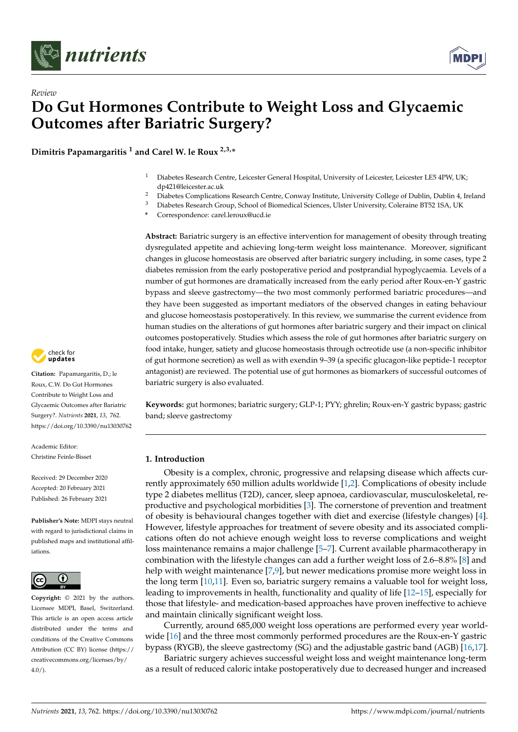

*Review*



# **Do Gut Hormones Contribute to Weight Loss and Glycaemic Outcomes after Bariatric Surgery?**

**Dimitris Papamargaritis <sup>1</sup> and Carel W. le Roux 2,3,\***

- <sup>1</sup> Diabetes Research Centre, Leicester General Hospital, University of Leicester, Leicester LE5 4PW, UK; dp421@leicester.ac.uk
- <sup>2</sup> Diabetes Complications Research Centre, Conway Institute, University College of Dublin, Dublin 4, Ireland<br><sup>3</sup> Diabetes Peaceash Centre, Cabetes Le Pierre died Crimera Ulthre University Colomics PT52.16 A, UK
- <sup>3</sup> Diabetes Research Group, School of Biomedical Sciences, Ulster University, Coleraine BT52 1SA, UK
- **\*** Correspondence: carel.leroux@ucd.ie

**Abstract:** Bariatric surgery is an effective intervention for management of obesity through treating dysregulated appetite and achieving long-term weight loss maintenance. Moreover, significant changes in glucose homeostasis are observed after bariatric surgery including, in some cases, type 2 diabetes remission from the early postoperative period and postprandial hypoglycaemia. Levels of a number of gut hormones are dramatically increased from the early period after Roux-en-Y gastric bypass and sleeve gastrectomy—the two most commonly performed bariatric procedures—and they have been suggested as important mediators of the observed changes in eating behaviour and glucose homeostasis postoperatively. In this review, we summarise the current evidence from human studies on the alterations of gut hormones after bariatric surgery and their impact on clinical outcomes postoperatively. Studies which assess the role of gut hormones after bariatric surgery on food intake, hunger, satiety and glucose homeostasis through octreotide use (a non-specific inhibitor of gut hormone secretion) as well as with exendin 9–39 (a specific glucagon-like peptide-1 receptor antagonist) are reviewed. The potential use of gut hormones as biomarkers of successful outcomes of bariatric surgery is also evaluated.

**Keywords:** gut hormones; bariatric surgery; GLP-1; PYY; ghrelin; Roux-en-Y gastric bypass; gastric band; sleeve gastrectomy

# **1. Introduction**

Obesity is a complex, chronic, progressive and relapsing disease which affects currently approximately 650 million adults worldwide [\[1](#page-18-0)[,2\]](#page-18-1). Complications of obesity include type 2 diabetes mellitus (T2D), cancer, sleep apnoea, cardiovascular, musculoskeletal, reproductive and psychological morbidities [\[3\]](#page-18-2). The cornerstone of prevention and treatment of obesity is behavioural changes together with diet and exercise (lifestyle changes) [\[4\]](#page-18-3). However, lifestyle approaches for treatment of severe obesity and its associated complications often do not achieve enough weight loss to reverse complications and weight loss maintenance remains a major challenge [\[5](#page-18-4)[–7\]](#page-18-5). Current available pharmacotherapy in combination with the lifestyle changes can add a further weight loss of 2.6–8.8% [\[8\]](#page-18-6) and help with weight maintenance [\[7](#page-18-5)[,9\]](#page-18-7), but newer medications promise more weight loss in the long term [\[10,](#page-18-8)[11\]](#page-18-9). Even so, bariatric surgery remains a valuable tool for weight loss, leading to improvements in health, functionality and quality of life [\[12–](#page-18-10)[15\]](#page-18-11), especially for those that lifestyle- and medication-based approaches have proven ineffective to achieve and maintain clinically significant weight loss.

Currently, around 685,000 weight loss operations are performed every year worldwide [\[16\]](#page-18-12) and the three most commonly performed procedures are the Roux-en-Y gastric bypass (RYGB), the sleeve gastrectomy (SG) and the adjustable gastric band (AGB) [\[16](#page-18-12)[,17\]](#page-18-13).

Bariatric surgery achieves successful weight loss and weight maintenance long-term as a result of reduced caloric intake postoperatively due to decreased hunger and increased



**Citation:** Papamargaritis, D.; le Roux, C.W. Do Gut Hormones Contribute to Weight Loss and Glycaemic Outcomes after Bariatric Surgery?. *Nutrients* **2021**, *13*, 762. <https://doi.org/10.3390/nu13030762>

Academic Editor: Christine Feinle-Bisset

Received: 29 December 2020 Accepted: 20 February 2021 Published: 26 February 2021

**Publisher's Note:** MDPI stays neutral with regard to jurisdictional claims in published maps and institutional affiliations.



**Copyright:** © 2021 by the authors. Licensee MDPI, Basel, Switzerland. This article is an open access article distributed under the terms and conditions of the Creative Commons Attribution (CC BY) license (https:/[/](https://creativecommons.org/licenses/by/4.0/) [creativecommons.org/licenses/by/](https://creativecommons.org/licenses/by/4.0/)  $4.0/$ ).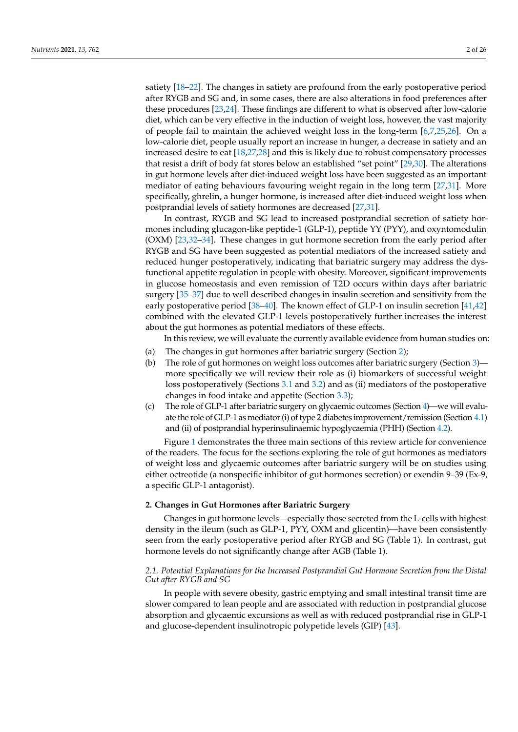satiety [\[18–](#page-18-14)[22\]](#page-18-15). The changes in satiety are profound from the early postoperative period after RYGB and SG and, in some cases, there are also alterations in food preferences after these procedures [\[23](#page-18-16)[,24\]](#page-19-0). These findings are different to what is observed after low-calorie diet, which can be very effective in the induction of weight loss, however, the vast majority of people fail to maintain the achieved weight loss in the long-term [\[6](#page-18-17)[,7](#page-18-5)[,25](#page-19-1)[,26\]](#page-19-2). On a low-calorie diet, people usually report an increase in hunger, a decrease in satiety and an increased desire to eat [\[18](#page-18-14)[,27](#page-19-3)[,28\]](#page-19-4) and this is likely due to robust compensatory processes that resist a drift of body fat stores below an established "set point" [\[29,](#page-19-5)[30\]](#page-19-6). The alterations in gut hormone levels after diet-induced weight loss have been suggested as an important mediator of eating behaviours favouring weight regain in the long term [\[27](#page-19-3)[,31\]](#page-19-7). More specifically, ghrelin, a hunger hormone, is increased after diet-induced weight loss when postprandial levels of satiety hormones are decreased [\[27,](#page-19-3)[31\]](#page-19-7).

In contrast, RYGB and SG lead to increased postprandial secretion of satiety hormones including glucagon-like peptide-1 (GLP-1), peptide YY (PYY), and oxyntomodulin (OXM) [\[23](#page-18-16)[,32](#page-19-8)[–34\]](#page-19-9). These changes in gut hormone secretion from the early period after RYGB and SG have been suggested as potential mediators of the increased satiety and reduced hunger postoperatively, indicating that bariatric surgery may address the dysfunctional appetite regulation in people with obesity. Moreover, significant improvements in glucose homeostasis and even remission of T2D occurs within days after bariatric surgery [\[35](#page-19-10)[–37\]](#page-19-11) due to well described changes in insulin secretion and sensitivity from the early postoperative period [\[38–](#page-19-12)[40\]](#page-19-13). The known effect of GLP-1 on insulin secretion [\[41,](#page-19-14)[42\]](#page-19-15) combined with the elevated GLP-1 levels postoperatively further increases the interest about the gut hormones as potential mediators of these effects.

In this review, we will evaluate the currently available evidence from human studies on:

- (a) The changes in gut hormones after bariatric surgery (Section [2\)](#page-1-0);
- (b) The role of gut hormones on weight loss outcomes after bariatric surgery (Section [3\)](#page-4-0) more specifically we will review their role as (i) biomarkers of successful weight loss postoperatively (Sections [3.1](#page-4-1) and [3.2\)](#page-6-0) and as (ii) mediators of the postoperative changes in food intake and appetite (Section [3.3\)](#page-6-1);
- (c) The role of GLP-1 after bariatric surgery on glycaemic outcomes (Section [4\)](#page-9-0)—we will evaluate the role of GLP-1 as mediator (i) of type 2 diabetes improvement/remission (Section [4.1\)](#page-9-1) and (ii) of postprandial hyperinsulinaemic hypoglycaemia (PHH) (Section [4.2\)](#page-12-0).

Figure [1](#page-2-0) demonstrates the three main sections of this review article for convenience of the readers. The focus for the sections exploring the role of gut hormones as mediators of weight loss and glycaemic outcomes after bariatric surgery will be on studies using either octreotide (a nonspecific inhibitor of gut hormones secretion) or exendin 9–39 (Ex-9, a specific GLP-1 antagonist).

## <span id="page-1-0"></span>**2. Changes in Gut Hormones after Bariatric Surgery**

Changes in gut hormone levels—especially those secreted from the L-cells with highest density in the ileum (such as GLP-1, PYY, OXM and glicentin)—have been consistently seen from the early postoperative period after RYGB and SG (Table 1). In contrast, gut hormone levels do not significantly change after AGB (Table 1).

## *2.1. Potential Explanations for the Increased Postprandial Gut Hormone Secretion from the Distal Gut after RYGB and SG*

In people with severe obesity, gastric emptying and small intestinal transit time are slower compared to lean people and are associated with reduction in postprandial glucose absorption and glycaemic excursions as well as with reduced postprandial rise in GLP-1 and glucose-dependent insulinotropic polypetide levels (GIP) [\[43\]](#page-19-16).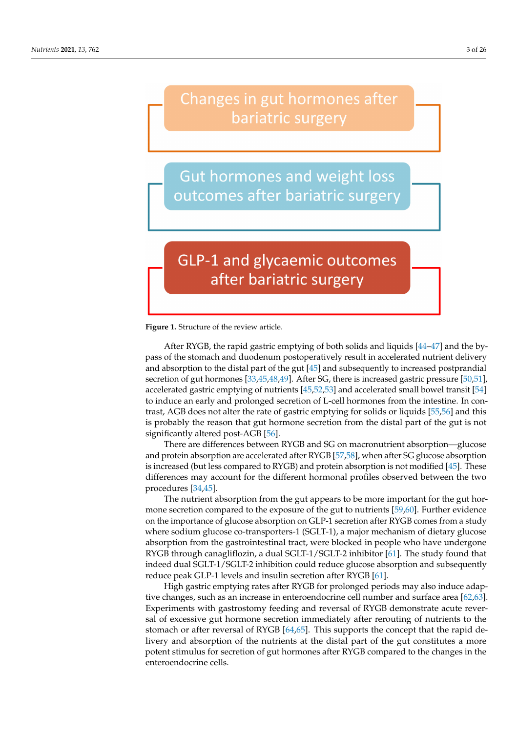# <span id="page-2-0"></span>Changes in gut hormones after bariatric surgery

**Gut hormones and weight loss** outcomes after bariatric surgery

# **GLP-1 and glycaemic outcomes** after bariatric surgery

**Figure 1.** Structure of the review article.

After RYGB, the rapid gastric emptying of both solids and liquids [\[44–](#page-19-17)[47\]](#page-20-0) and the bypass of the stomach and duodenum postoperatively result in accelerated nutrient delivery and absorption to the distal part of the gut [\[45\]](#page-19-18) and subsequently to increased postprandial secretion of gut hormones [\[33,](#page-19-19)[45](#page-19-18)[,48](#page-20-1)[,49\]](#page-20-2). After SG, there is increased gastric pressure [\[50](#page-20-3)[,51\]](#page-20-4), accelerated gastric emptying of nutrients [\[45](#page-19-18)[,52](#page-20-5)[,53\]](#page-20-6) and accelerated small bowel transit [\[54\]](#page-20-7) to induce an early and prolonged secretion of L-cell hormones from the intestine. In contrast, AGB does not alter the rate of gastric emptying for solids or liquids [\[55](#page-20-8)[,56\]](#page-20-9) and this is probably the reason that gut hormone secretion from the distal part of the gut is not significantly altered post-AGB [\[56\]](#page-20-9).

There are differences between RYGB and SG on macronutrient absorption—glucose and protein absorption are accelerated after RYGB [\[57,](#page-20-10)[58\]](#page-20-11), when after SG glucose absorption is increased (but less compared to RYGB) and protein absorption is not modified [\[45\]](#page-19-18). These differences may account for the different hormonal profiles observed between the two procedures [\[34](#page-19-9)[,45\]](#page-19-18).

The nutrient absorption from the gut appears to be more important for the gut hormone secretion compared to the exposure of the gut to nutrients [\[59](#page-20-12)[,60\]](#page-20-13). Further evidence on the importance of glucose absorption on GLP-1 secretion after RYGB comes from a study where sodium glucose co-transporters-1 (SGLT-1), a major mechanism of dietary glucose absorption from the gastrointestinal tract, were blocked in people who have undergone RYGB through canagliflozin, a dual SGLT-1/SGLT-2 inhibitor [\[61\]](#page-20-14). The study found that indeed dual SGLT-1/SGLT-2 inhibition could reduce glucose absorption and subsequently reduce peak GLP-1 levels and insulin secretion after RYGB [\[61\]](#page-20-14).

High gastric emptying rates after RYGB for prolonged periods may also induce adaptive changes, such as an increase in enteroendocrine cell number and surface area [\[62](#page-20-15)[,63\]](#page-20-16). Experiments with gastrostomy feeding and reversal of RYGB demonstrate acute reversal of excessive gut hormone secretion immediately after rerouting of nutrients to the stomach or after reversal of RYGB [\[64](#page-20-17)[,65\]](#page-20-18). This supports the concept that the rapid delivery and absorption of the nutrients at the distal part of the gut constitutes a more potent stimulus for secretion of gut hormones after RYGB compared to the changes in the enteroendocrine cells.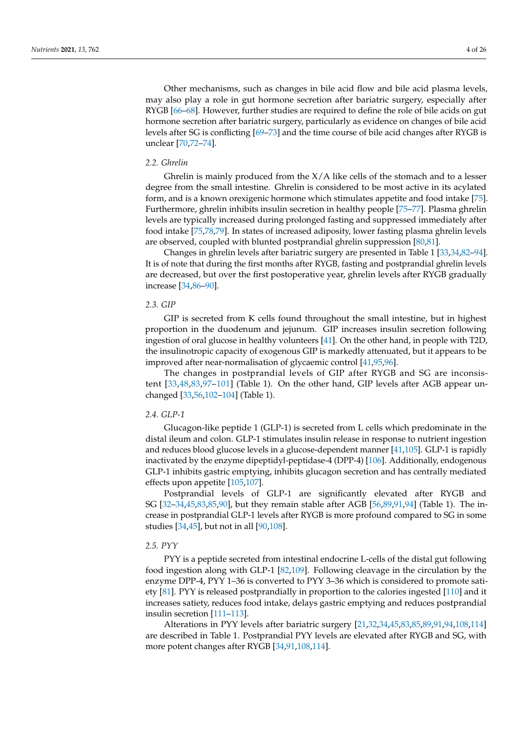Other mechanisms, such as changes in bile acid flow and bile acid plasma levels, may also play a role in gut hormone secretion after bariatric surgery, especially after RYGB [\[66](#page-20-19)[–68\]](#page-20-20). However, further studies are required to define the role of bile acids on gut hormone secretion after bariatric surgery, particularly as evidence on changes of bile acid levels after SG is conflicting [\[69–](#page-20-21)[73\]](#page-21-0) and the time course of bile acid changes after RYGB is unclear [\[70](#page-21-1)[,72](#page-21-2)[–74\]](#page-21-3).

### *2.2. Ghrelin*

Ghrelin is mainly produced from the  $X/A$  like cells of the stomach and to a lesser degree from the small intestine. Ghrelin is considered to be most active in its acylated form, and is a known orexigenic hormone which stimulates appetite and food intake [\[75\]](#page-21-4). Furthermore, ghrelin inhibits insulin secretion in healthy people [\[75–](#page-21-4)[77\]](#page-21-5). Plasma ghrelin levels are typically increased during prolonged fasting and suppressed immediately after food intake [\[75](#page-21-4)[,78](#page-21-6)[,79\]](#page-21-7). In states of increased adiposity, lower fasting plasma ghrelin levels are observed, coupled with blunted postprandial ghrelin suppression [\[80](#page-21-8)[,81\]](#page-21-9).

Changes in ghrelin levels after bariatric surgery are presented in Table 1 [\[33,](#page-19-19)[34](#page-19-9)[,82](#page-21-10)[–94\]](#page-22-0). It is of note that during the first months after RYGB, fasting and postprandial ghrelin levels are decreased, but over the first postoperative year, ghrelin levels after RYGB gradually increase [\[34,](#page-19-9)[86](#page-21-11)[–90\]](#page-21-12).

## *2.3. GIP*

GIP is secreted from K cells found throughout the small intestine, but in highest proportion in the duodenum and jejunum. GIP increases insulin secretion following ingestion of oral glucose in healthy volunteers [\[41\]](#page-19-14). On the other hand, in people with T2D, the insulinotropic capacity of exogenous GIP is markedly attenuated, but it appears to be improved after near-normalisation of glycaemic control [\[41,](#page-19-14)[95,](#page-22-1)[96\]](#page-22-2).

The changes in postprandial levels of GIP after RYGB and SG are inconsistent [\[33](#page-19-19)[,48,](#page-20-1)[83](#page-21-13)[,97–](#page-22-3)[101\]](#page-22-4) (Table 1). On the other hand, GIP levels after AGB appear unchanged [\[33](#page-19-19)[,56](#page-20-9)[,102](#page-22-5)[–104\]](#page-22-6) (Table 1).

## *2.4. GLP-1*

Glucagon-like peptide 1 (GLP-1) is secreted from L cells which predominate in the distal ileum and colon. GLP-1 stimulates insulin release in response to nutrient ingestion and reduces blood glucose levels in a glucose-dependent manner [\[41,](#page-19-14)[105\]](#page-22-7). GLP-1 is rapidly inactivated by the enzyme dipeptidyl-peptidase-4 (DPP-4) [\[106\]](#page-22-8). Additionally, endogenous GLP-1 inhibits gastric emptying, inhibits glucagon secretion and has centrally mediated effects upon appetite [\[105,](#page-22-7)[107\]](#page-22-9).

Postprandial levels of GLP-1 are significantly elevated after RYGB and SG [\[32–](#page-19-8)[34,](#page-19-9)[45,](#page-19-18)[83,](#page-21-13)[85,](#page-21-14)[90\]](#page-21-12), but they remain stable after AGB [\[56](#page-20-9)[,89](#page-21-15)[,91,](#page-21-16)[94\]](#page-22-0) (Table 1). The increase in postprandial GLP-1 levels after RYGB is more profound compared to SG in some studies [\[34](#page-19-9)[,45\]](#page-19-18), but not in all [\[90,](#page-21-12)[108\]](#page-22-10).

## *2.5. PYY*

PYY is a peptide secreted from intestinal endocrine L-cells of the distal gut following food ingestion along with GLP-1 [\[82](#page-21-10)[,109\]](#page-22-11). Following cleavage in the circulation by the enzyme DPP-4, PYY 1–36 is converted to PYY 3–36 which is considered to promote satiety [\[81\]](#page-21-9). PYY is released postprandially in proportion to the calories ingested [\[110\]](#page-22-12) and it increases satiety, reduces food intake, delays gastric emptying and reduces postprandial insulin secretion [\[111](#page-22-13)[–113\]](#page-22-14).

Alterations in PYY levels after bariatric surgery [\[21](#page-18-18)[,32](#page-19-8)[,34](#page-19-9)[,45](#page-19-18)[,83](#page-21-13)[,85](#page-21-14)[,89](#page-21-15)[,91](#page-21-16)[,94](#page-22-0)[,108](#page-22-10)[,114\]](#page-22-15) are described in Table 1. Postprandial PYY levels are elevated after RYGB and SG, with more potent changes after RYGB [\[34,](#page-19-9)[91,](#page-21-16)[108,](#page-22-10)[114\]](#page-22-15).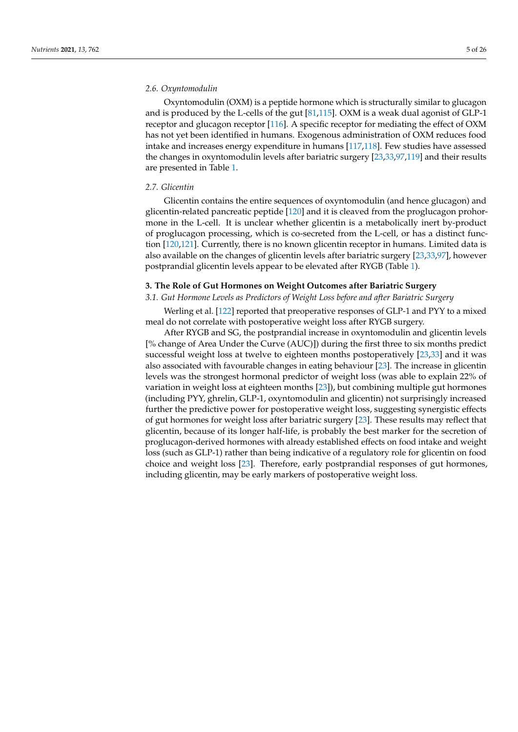## *2.6. Oxyntomodulin*

Oxyntomodulin (OXM) is a peptide hormone which is structurally similar to glucagon and is produced by the L-cells of the gut [\[81,](#page-21-9)[115\]](#page-22-16). OXM is a weak dual agonist of GLP-1 receptor and glucagon receptor [\[116\]](#page-22-17). A specific receptor for mediating the effect of OXM has not yet been identified in humans. Exogenous administration of OXM reduces food intake and increases energy expenditure in humans [\[117](#page-22-18)[,118\]](#page-22-19). Few studies have assessed the changes in oxyntomodulin levels after bariatric surgery [\[23](#page-18-16)[,33](#page-19-19)[,97,](#page-22-3)[119\]](#page-23-0) and their results are presented in Table [1.](#page-5-0)

### *2.7. Glicentin*

Glicentin contains the entire sequences of oxyntomodulin (and hence glucagon) and glicentin-related pancreatic peptide [\[120\]](#page-23-1) and it is cleaved from the proglucagon prohormone in the L-cell. It is unclear whether glicentin is a metabolically inert by-product of proglucagon processing, which is co-secreted from the L-cell, or has a distinct function [\[120](#page-23-1)[,121\]](#page-23-2). Currently, there is no known glicentin receptor in humans. Limited data is also available on the changes of glicentin levels after bariatric surgery [\[23](#page-18-16)[,33,](#page-19-19)[97\]](#page-22-3), however postprandial glicentin levels appear to be elevated after RYGB (Table [1\)](#page-5-0).

## <span id="page-4-0"></span>**3. The Role of Gut Hormones on Weight Outcomes after Bariatric Surgery**

#### <span id="page-4-1"></span>*3.1. Gut Hormone Levels as Predictors of Weight Loss before and after Bariatric Surgery*

Werling et al. [\[122\]](#page-23-3) reported that preoperative responses of GLP-1 and PYY to a mixed meal do not correlate with postoperative weight loss after RYGB surgery.

After RYGB and SG, the postprandial increase in oxyntomodulin and glicentin levels [% change of Area Under the Curve (AUC)]) during the first three to six months predict successful weight loss at twelve to eighteen months postoperatively [\[23,](#page-18-16)[33\]](#page-19-19) and it was also associated with favourable changes in eating behaviour [\[23\]](#page-18-16). The increase in glicentin levels was the strongest hormonal predictor of weight loss (was able to explain 22% of variation in weight loss at eighteen months [\[23\]](#page-18-16)), but combining multiple gut hormones (including PYY, ghrelin, GLP-1, oxyntomodulin and glicentin) not surprisingly increased further the predictive power for postoperative weight loss, suggesting synergistic effects of gut hormones for weight loss after bariatric surgery [\[23\]](#page-18-16). These results may reflect that glicentin, because of its longer half-life, is probably the best marker for the secretion of proglucagon-derived hormones with already established effects on food intake and weight loss (such as GLP-1) rather than being indicative of a regulatory role for glicentin on food choice and weight loss [\[23\]](#page-18-16). Therefore, early postprandial responses of gut hormones, including glicentin, may be early markers of postoperative weight loss.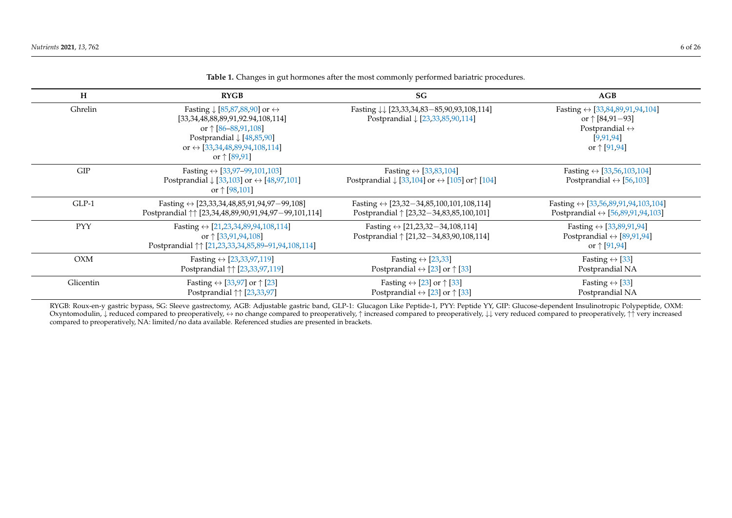| H          | <b>RYGB</b>                                                                                                                                                                                                                                             | <b>SG</b>                                                                                                                  | AGB                                                                                                                                                  |
|------------|---------------------------------------------------------------------------------------------------------------------------------------------------------------------------------------------------------------------------------------------------------|----------------------------------------------------------------------------------------------------------------------------|------------------------------------------------------------------------------------------------------------------------------------------------------|
| Ghrelin    | Fasting $\downarrow$ [85,87,88,90] or $\leftrightarrow$<br>[33, 34, 48, 88, 89, 91, 92. 94, 108, 114]<br>or $\uparrow$ [86–88,91,108]<br>Postprandial $\downarrow$ [48,85,90]<br>or $\leftrightarrow$ [33,34,48,89,94,108,114]<br>or $\uparrow$ [89,91] | Fasting \\ [23,33,34,83-85,90,93,108,114]<br>Postprandial ↓ [23,33,85,90,114]                                              | Fasting $\leftrightarrow$ [33,84,89,91,94,104]<br>or $\uparrow$ [84,91-93]<br>Postprandial $\leftrightarrow$<br>[9, 91, 94]<br>or $\uparrow$ [91,94] |
| GIP        | Fasting $\leftrightarrow$ [33,97-99,101,103]<br>Postprandial $\downarrow$ [33,103] or $\leftrightarrow$ [48,97,101]<br>or $\uparrow$ [98,101]                                                                                                           | Fasting $\leftrightarrow$ [33,83,104]<br>Postprandial $\downarrow$ [33,104] or $\leftrightarrow$ [105] or $\uparrow$ [104] | Fasting $\leftrightarrow$ [33,56,103,104]<br>Postprandial $\leftrightarrow$ [56,103]                                                                 |
| $GLP-1$    | Fasting $\leftrightarrow$ [23,33,34,48,85,91,94,97-99,108]<br>Postprandial $\uparrow\uparrow$ [23,34,48,89,90,91,94,97-99,101,114]                                                                                                                      | Fasting $\leftrightarrow$ [23,32-34,85,100,101,108,114]<br>Postprandial   [23,32-34,83,85,100,101]                         | Fasting $\leftrightarrow$ [33,56,89,91,94,103,104]<br>Postprandial $\leftrightarrow$ [56,89,91,94,103]                                               |
| <b>PYY</b> | Fasting $\leftrightarrow$ [21,23,34,89,94,108,114]<br>or $\uparrow$ [33,91,94,108]<br>Postprandial $\uparrow\uparrow$ [21,23,33,34,85,89-91,94,108,114]                                                                                                 | Fasting $\leftrightarrow$ [21,23,32-34,108,114]<br>Postprandial $\uparrow$ [21,32-34,83,90,108,114]                        | Fasting $\leftrightarrow$ [33,89,91,94]<br>Postprandial $\leftrightarrow$ [89,91,94]<br>or $\uparrow$ [91,94]                                        |
| <b>OXM</b> | Fasting $\leftrightarrow$ [23,33,97,119]<br>Postprandial $\uparrow \uparrow$ [23,33,97,119]                                                                                                                                                             | Fasting $\leftrightarrow$ [23,33]<br>Postprandial $\leftrightarrow$ [23] or $\uparrow$ [33]                                | Fasting $\leftrightarrow$ [33]<br>Postprandial NA                                                                                                    |
| Glicentin  | Fasting $\leftrightarrow$ [33,97] or $\uparrow$ [23]<br>Postprandial ↑↑ [23,33,97]                                                                                                                                                                      | Fasting $\leftrightarrow$ [23] or $\uparrow$ [33]<br>Postprandial $\leftrightarrow$ [23] or $\uparrow$ [33]                | Fasting $\leftrightarrow$ [33]<br>Postprandial NA                                                                                                    |

**Table 1.** Changes in gut hormones after the most commonly performed bariatric procedures.

<span id="page-5-0"></span>RYGB: Roux-en-y gastric bypass, SG: Sleeve gastrectomy, AGB: Adjustable gastric band, GLP-1: Glucagon Like Peptide-1, PYY: Peptide YY, GIP: Glucose-dependent Insulinotropic Polypeptide, OXM: Oxyntomodulin, ↓ reduced compared to preoperatively,  $\leftrightarrow$  no change compared to preoperatively,  $\uparrow$  increased compared to preoperatively,  $\downarrow$  very reduced compared to preoperatively,  $\uparrow$  very increased compared to preoperatively, NA: limited/no data available. Referenced studies are presented in brackets.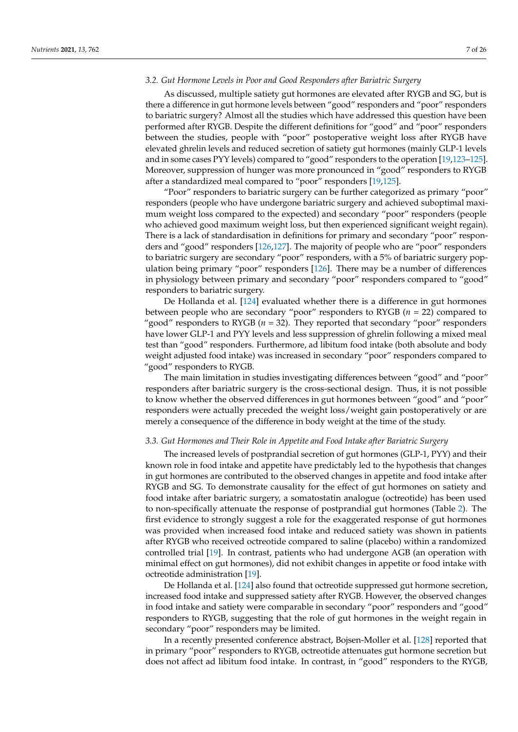## <span id="page-6-0"></span>*3.2. Gut Hormone Levels in Poor and Good Responders after Bariatric Surgery*

As discussed, multiple satiety gut hormones are elevated after RYGB and SG, but is there a difference in gut hormone levels between "good" responders and "poor" responders to bariatric surgery? Almost all the studies which have addressed this question have been performed after RYGB. Despite the different definitions for "good" and "poor" responders between the studies, people with "poor" postoperative weight loss after RYGB have elevated ghrelin levels and reduced secretion of satiety gut hormones (mainly GLP-1 levels and in some cases PYY levels) compared to "good" responders to the operation [\[19](#page-18-22)[,123](#page-23-5)[–125\]](#page-23-6). Moreover, suppression of hunger was more pronounced in "good" responders to RYGB after a standardized meal compared to "poor" responders [\[19,](#page-18-22)[125\]](#page-23-6).

"Poor" responders to bariatric surgery can be further categorized as primary "poor" responders (people who have undergone bariatric surgery and achieved suboptimal maximum weight loss compared to the expected) and secondary "poor" responders (people who achieved good maximum weight loss, but then experienced significant weight regain). There is a lack of standardisation in definitions for primary and secondary "poor" responders and "good" responders [\[126](#page-23-7)[,127\]](#page-23-8). The majority of people who are "poor" responders to bariatric surgery are secondary "poor" responders, with a 5% of bariatric surgery population being primary "poor" responders [\[126\]](#page-23-7). There may be a number of differences in physiology between primary and secondary "poor" responders compared to "good" responders to bariatric surgery.

De Hollanda et al. [\[124\]](#page-23-9) evaluated whether there is a difference in gut hormones between people who are secondary "poor" responders to RYGB (*n* = 22) compared to "good" responders to RYGB ( $n = 32$ ). They reported that secondary "poor" responders have lower GLP-1 and PYY levels and less suppression of ghrelin following a mixed meal test than "good" responders. Furthermore, ad libitum food intake (both absolute and body weight adjusted food intake) was increased in secondary "poor" responders compared to "good" responders to RYGB.

The main limitation in studies investigating differences between "good" and "poor" responders after bariatric surgery is the cross-sectional design. Thus, it is not possible to know whether the observed differences in gut hormones between "good" and "poor" responders were actually preceded the weight loss/weight gain postoperatively or are merely a consequence of the difference in body weight at the time of the study.

# <span id="page-6-1"></span>*3.3. Gut Hormones and Their Role in Appetite and Food Intake after Bariatric Surgery*

The increased levels of postprandial secretion of gut hormones (GLP-1, PYY) and their known role in food intake and appetite have predictably led to the hypothesis that changes in gut hormones are contributed to the observed changes in appetite and food intake after RYGB and SG. To demonstrate causality for the effect of gut hormones on satiety and food intake after bariatric surgery, a somatostatin analogue (octreotide) has been used to non-specifically attenuate the response of postprandial gut hormones (Table [2\)](#page-8-0). The first evidence to strongly suggest a role for the exaggerated response of gut hormones was provided when increased food intake and reduced satiety was shown in patients after RYGB who received octreotide compared to saline (placebo) within a randomized controlled trial [\[19\]](#page-18-22). In contrast, patients who had undergone AGB (an operation with minimal effect on gut hormones), did not exhibit changes in appetite or food intake with octreotide administration [\[19\]](#page-18-22).

De Hollanda et al. [\[124\]](#page-23-9) also found that octreotide suppressed gut hormone secretion, increased food intake and suppressed satiety after RYGB. However, the observed changes in food intake and satiety were comparable in secondary "poor" responders and "good" responders to RYGB, suggesting that the role of gut hormones in the weight regain in secondary "poor" responders may be limited.

In a recently presented conference abstract, Bojsen-Moller et al. [\[128\]](#page-23-10) reported that in primary "poor" responders to RYGB, octreotide attenuates gut hormone secretion but does not affect ad libitum food intake. In contrast, in "good" responders to the RYGB,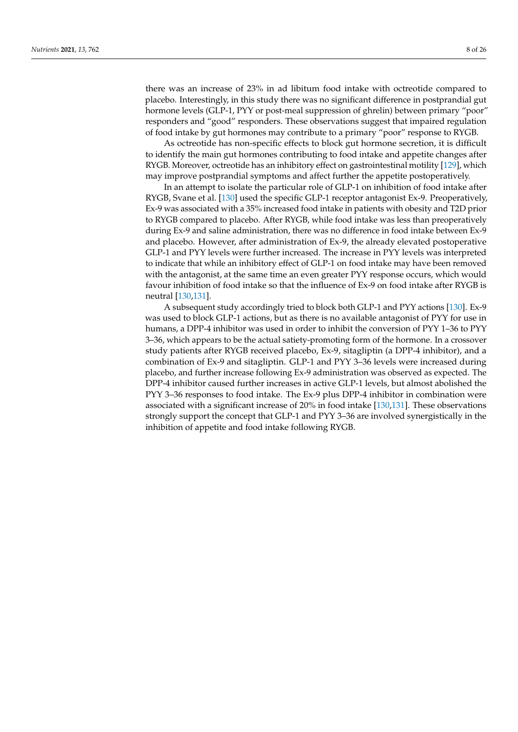there was an increase of 23% in ad libitum food intake with octreotide compared to placebo. Interestingly, in this study there was no significant difference in postprandial gut hormone levels (GLP-1, PYY or post-meal suppression of ghrelin) between primary "poor" responders and "good" responders. These observations suggest that impaired regulation of food intake by gut hormones may contribute to a primary "poor" response to RYGB.

As octreotide has non-specific effects to block gut hormone secretion, it is difficult to identify the main gut hormones contributing to food intake and appetite changes after RYGB. Moreover, octreotide has an inhibitory effect on gastrointestinal motility [\[129\]](#page-23-11), which may improve postprandial symptoms and affect further the appetite postoperatively.

In an attempt to isolate the particular role of GLP-1 on inhibition of food intake after RYGB, Svane et al. [\[130\]](#page-23-12) used the specific GLP-1 receptor antagonist Ex-9. Preoperatively, Ex-9 was associated with a 35% increased food intake in patients with obesity and T2D prior to RYGB compared to placebo. After RYGB, while food intake was less than preoperatively during Ex-9 and saline administration, there was no difference in food intake between Ex-9 and placebo. However, after administration of Ex-9, the already elevated postoperative GLP-1 and PYY levels were further increased. The increase in PYY levels was interpreted to indicate that while an inhibitory effect of GLP-1 on food intake may have been removed with the antagonist, at the same time an even greater PYY response occurs, which would favour inhibition of food intake so that the influence of Ex-9 on food intake after RYGB is neutral [\[130,](#page-23-12)[131\]](#page-23-13).

A subsequent study accordingly tried to block both GLP-1 and PYY actions [\[130\]](#page-23-12). Ex-9 was used to block GLP-1 actions, but as there is no available antagonist of PYY for use in humans, a DPP-4 inhibitor was used in order to inhibit the conversion of PYY 1–36 to PYY 3–36, which appears to be the actual satiety-promoting form of the hormone. In a crossover study patients after RYGB received placebo, Ex-9, sitagliptin (a DPP-4 inhibitor), and a combination of Ex-9 and sitagliptin. GLP-1 and PYY 3–36 levels were increased during placebo, and further increase following Ex-9 administration was observed as expected. The DPP-4 inhibitor caused further increases in active GLP-1 levels, but almost abolished the PYY 3–36 responses to food intake. The Ex-9 plus DPP-4 inhibitor in combination were associated with a significant increase of 20% in food intake [\[130](#page-23-12)[,131\]](#page-23-13). These observations strongly support the concept that GLP-1 and PYY 3–36 are involved synergistically in the inhibition of appetite and food intake following RYGB.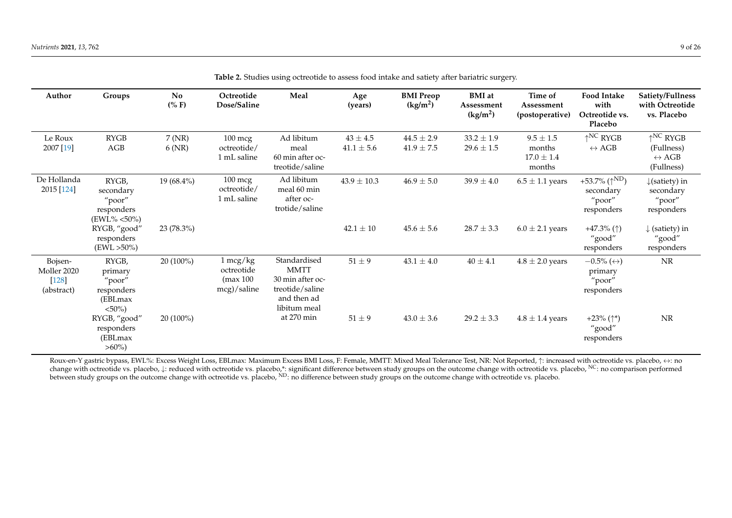| Author                                          | Groups                                                             | <b>No</b><br>$(\% F)$ | Octreotide<br>Dose/Saline                                   | Meal                                                                                              | Age<br>(years)               | <b>BMI</b> Preop<br>(kg/m <sup>2</sup> ) | <b>BMI</b> at<br>Assessment<br>(kg/m <sup>2</sup> ) | Time of<br>Assessment<br>(postoperative)          | <b>Food Intake</b><br>with<br>Octreotide vs.<br>Placebo             | Satiety/Fullness<br>with Octreotide<br>vs. Placebo                                 |
|-------------------------------------------------|--------------------------------------------------------------------|-----------------------|-------------------------------------------------------------|---------------------------------------------------------------------------------------------------|------------------------------|------------------------------------------|-----------------------------------------------------|---------------------------------------------------|---------------------------------------------------------------------|------------------------------------------------------------------------------------|
| Le Roux<br>2007 [19]                            | <b>RYGB</b><br>AGB                                                 | 7 (NR)<br>6(NR)       | $100 \text{ mcg}$<br>octreotide/<br>1 mL saline             | Ad libitum<br>meal<br>60 min after oc-<br>treotide/saline                                         | $43\pm4.5$<br>$41.1 \pm 5.6$ | $44.5 \pm 2.9$<br>$41.9 \pm 7.5$         | $33.2 \pm 1.9$<br>$29.6 \pm 1.5$                    | $9.5\pm1.5$<br>months<br>$17.0 \pm 1.4$<br>months | $\uparrow$ <sup>NC</sup> RYGB<br>$\leftrightarrow$ AGB              | $\uparrow$ <sup>NC</sup> RYGB<br>(Fullness)<br>$\leftrightarrow$ AGB<br>(Fullness) |
| De Hollanda<br>2015 [124]                       | RYGB,<br>secondary<br>"poor"<br>responders<br>$(EWL\% < 50\%)$     | $19(68.4\%)$          | $100 \text{ mcg}$<br>octreotide/<br>1 mL saline             | Ad libitum<br>meal 60 min<br>after oc-<br>trotide/saline                                          | $43.9 \pm 10.3$              | $46.9 \pm 5.0$                           | $39.9 \pm 4.0$                                      | $6.5 \pm 1.1$ years                               | +53.7% ( $\uparrow^{\rm ND}$ )<br>secondary<br>"poor"<br>responders | $\downarrow$ (satiety) in<br>secondary<br>"poor"<br>responders                     |
|                                                 | RYGB, "good"<br>responders<br>$(EWL > 50\%)$                       | 23 (78.3%)            |                                                             |                                                                                                   | $42.1 \pm 10$                | $45.6 \pm 5.6$                           | $28.7 \pm 3.3$                                      | $6.0 \pm 2.1$ years                               | +47.3% $(\uparrow)$<br>"good"<br>responders                         | $\downarrow$ (satiety) in<br>"good"<br>responders                                  |
| Bojsen-<br>Moller 2020<br>$[128]$<br>(abstract) | RYGB,<br>primary<br>"poor"<br>responders<br>(EBLmax)<br>$< 50\%$ ) | $20(100\%)$           | $1 \text{~mag/kg}$<br>octreotide<br>(max 100<br>mcg)/saline | Standardised<br><b>MMTT</b><br>30 min after oc-<br>treotide/saline<br>and then ad<br>libitum meal | $51 \pm 9$                   | $43.1 \pm 4.0$                           | $40\pm4.1$                                          | $4.8 \pm 2.0$ years                               | $-0.5\%$ ( $\leftrightarrow$ )<br>primary<br>"poor"<br>responders   | NR                                                                                 |
|                                                 | RYGB, "good"<br>responders<br>(EBLmax)<br>$>60\%$                  | $20(100\%)$           |                                                             | at 270 min                                                                                        | $51 \pm 9$                   | $43.0 \pm 3.6$                           | $29.2 \pm 3.3$                                      | $4.8 \pm 1.4$ years                               | +23% $($ <sup>*</sup> )<br>"good"<br>responders                     | NR                                                                                 |

**Table 2.** Studies using octreotide to assess food intake and satiety after bariatric surgery.

<span id="page-8-0"></span>Roux-en-Y gastric bypass, EWL%: Excess Weight Loss, EBLmax: Maximum Excess BMI Loss, F: Female, MMTT: Mixed Meal Tolerance Test, NR: Not Reported, ↑: increased with octreotide vs. placebo, ↔: no change with octreotide vs. placebo,  $\downarrow$ : reduced with octreotide vs. placebo,\*: significant difference between study groups on the outcome change with octreotide vs. placebo, <sup>NC</sup>: no comparison performed between study groups on the outcome change with octreotide vs. placebo, <sup>ND</sup>: no difference between study groups on the outcome change with octreotide vs. placebo.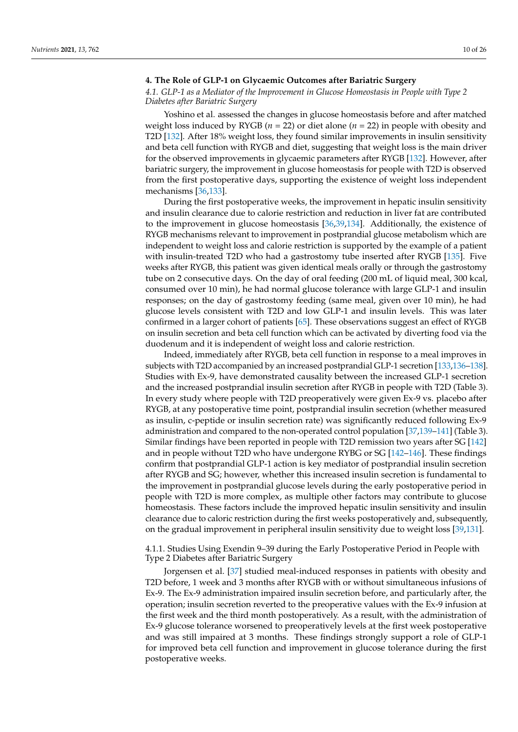# <span id="page-9-0"></span>**4. The Role of GLP-1 on Glycaemic Outcomes after Bariatric Surgery**

# <span id="page-9-1"></span>*4.1. GLP-1 as a Mediator of the Improvement in Glucose Homeostasis in People with Type 2 Diabetes after Bariatric Surgery*

Yoshino et al. assessed the changes in glucose homeostasis before and after matched weight loss induced by RYGB (*n* = 22) or diet alone (*n* = 22) in people with obesity and T2D [\[132\]](#page-23-16). After 18% weight loss, they found similar improvements in insulin sensitivity and beta cell function with RYGB and diet, suggesting that weight loss is the main driver for the observed improvements in glycaemic parameters after RYGB [\[132\]](#page-23-16). However, after bariatric surgery, the improvement in glucose homeostasis for people with T2D is observed from the first postoperative days, supporting the existence of weight loss independent mechanisms [\[36,](#page-19-22)[133\]](#page-23-17).

During the first postoperative weeks, the improvement in hepatic insulin sensitivity and insulin clearance due to calorie restriction and reduction in liver fat are contributed to the improvement in glucose homeostasis [\[36,](#page-19-22)[39,](#page-19-23)[134\]](#page-23-18). Additionally, the existence of RYGB mechanisms relevant to improvement in postprandial glucose metabolism which are independent to weight loss and calorie restriction is supported by the example of a patient with insulin-treated T2D who had a gastrostomy tube inserted after RYGB [\[135\]](#page-23-19). Five weeks after RYGB, this patient was given identical meals orally or through the gastrostomy tube on 2 consecutive days. On the day of oral feeding (200 mL of liquid meal, 300 kcal, consumed over 10 min), he had normal glucose tolerance with large GLP-1 and insulin responses; on the day of gastrostomy feeding (same meal, given over 10 min), he had glucose levels consistent with T2D and low GLP-1 and insulin levels. This was later confirmed in a larger cohort of patients [\[65\]](#page-20-18). These observations suggest an effect of RYGB on insulin secretion and beta cell function which can be activated by diverting food via the duodenum and it is independent of weight loss and calorie restriction.

Indeed, immediately after RYGB, beta cell function in response to a meal improves in subjects with T2D accompanied by an increased postprandial GLP-1 secretion [\[133,](#page-23-17)[136](#page-23-20)[–138\]](#page-23-21). Studies with Ex-9, have demonstrated causality between the increased GLP-1 secretion and the increased postprandial insulin secretion after RYGB in people with T2D (Table 3). In every study where people with T2D preoperatively were given Ex-9 vs. placebo after RYGB, at any postoperative time point, postprandial insulin secretion (whether measured as insulin, c-peptide or insulin secretion rate) was significantly reduced following Ex-9 administration and compared to the non-operated control population [\[37,](#page-19-11)[139–](#page-23-22)[141\]](#page-23-23) (Table 3). Similar findings have been reported in people with T2D remission two years after SG [\[142\]](#page-23-24) and in people without T2D who have undergone RYBG or SG [\[142](#page-23-24)[–146\]](#page-24-0). These findings confirm that postprandial GLP-1 action is key mediator of postprandial insulin secretion after RYGB and SG; however, whether this increased insulin secretion is fundamental to the improvement in postprandial glucose levels during the early postoperative period in people with T2D is more complex, as multiple other factors may contribute to glucose homeostasis. These factors include the improved hepatic insulin sensitivity and insulin clearance due to caloric restriction during the first weeks postoperatively and, subsequently, on the gradual improvement in peripheral insulin sensitivity due to weight loss [\[39](#page-19-23)[,131\]](#page-23-13).

4.1.1. Studies Using Exendin 9–39 during the Early Postoperative Period in People with Type 2 Diabetes after Bariatric Surgery

Jorgensen et al. [\[37\]](#page-19-11) studied meal-induced responses in patients with obesity and T2D before, 1 week and 3 months after RYGB with or without simultaneous infusions of Ex-9. The Ex-9 administration impaired insulin secretion before, and particularly after, the operation; insulin secretion reverted to the preoperative values with the Ex-9 infusion at the first week and the third month postoperatively. As a result, with the administration of Ex-9 glucose tolerance worsened to preoperatively levels at the first week postoperative and was still impaired at 3 months. These findings strongly support a role of GLP-1 for improved beta cell function and improvement in glucose tolerance during the first postoperative weeks.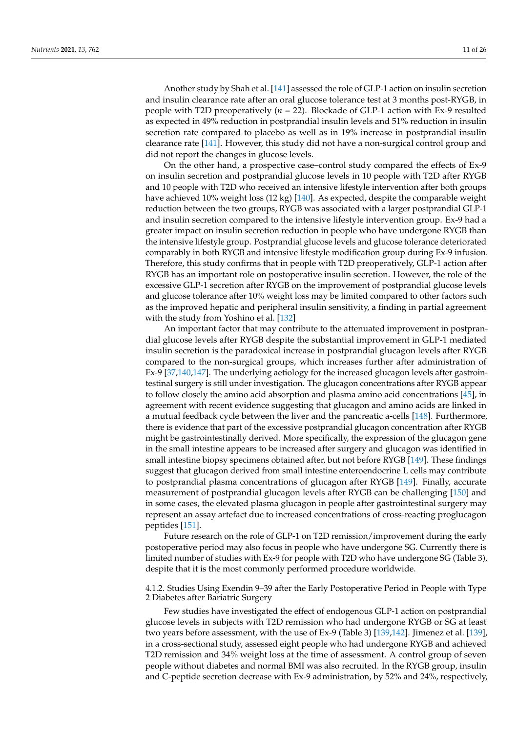Another study by Shah et al. [\[141\]](#page-23-23) assessed the role of GLP-1 action on insulin secretion and insulin clearance rate after an oral glucose tolerance test at 3 months post-RYGB, in people with T2D preoperatively (*n* = 22). Blockade of GLP-1 action with Ex-9 resulted as expected in 49% reduction in postprandial insulin levels and 51% reduction in insulin secretion rate compared to placebo as well as in 19% increase in postprandial insulin

did not report the changes in glucose levels. On the other hand, a prospective case–control study compared the effects of Ex-9 on insulin secretion and postprandial glucose levels in 10 people with T2D after RYGB and 10 people with T2D who received an intensive lifestyle intervention after both groups have achieved 10% weight loss (12 kg) [\[140\]](#page-23-25). As expected, despite the comparable weight reduction between the two groups, RYGB was associated with a larger postprandial GLP-1 and insulin secretion compared to the intensive lifestyle intervention group. Ex-9 had a greater impact on insulin secretion reduction in people who have undergone RYGB than the intensive lifestyle group. Postprandial glucose levels and glucose tolerance deteriorated comparably in both RYGB and intensive lifestyle modification group during Ex-9 infusion. Therefore, this study confirms that in people with T2D preoperatively, GLP-1 action after RYGB has an important role on postoperative insulin secretion. However, the role of the excessive GLP-1 secretion after RYGB on the improvement of postprandial glucose levels and glucose tolerance after 10% weight loss may be limited compared to other factors such as the improved hepatic and peripheral insulin sensitivity, a finding in partial agreement with the study from Yoshino et al. [\[132\]](#page-23-16)

clearance rate [\[141\]](#page-23-23). However, this study did not have a non-surgical control group and

An important factor that may contribute to the attenuated improvement in postprandial glucose levels after RYGB despite the substantial improvement in GLP-1 mediated insulin secretion is the paradoxical increase in postprandial glucagon levels after RYGB compared to the non-surgical groups, which increases further after administration of Ex-9 [\[37](#page-19-11)[,140](#page-23-25)[,147\]](#page-24-1). The underlying aetiology for the increased glucagon levels after gastrointestinal surgery is still under investigation. The glucagon concentrations after RYGB appear to follow closely the amino acid absorption and plasma amino acid concentrations [\[45\]](#page-19-18), in agreement with recent evidence suggesting that glucagon and amino acids are linked in a mutual feedback cycle between the liver and the pancreatic a-cells [\[148\]](#page-24-2). Furthermore, there is evidence that part of the excessive postprandial glucagon concentration after RYGB might be gastrointestinally derived. More specifically, the expression of the glucagon gene in the small intestine appears to be increased after surgery and glucagon was identified in small intestine biopsy specimens obtained after, but not before RYGB [\[149\]](#page-24-3). These findings suggest that glucagon derived from small intestine enteroendocrine L cells may contribute to postprandial plasma concentrations of glucagon after RYGB [\[149\]](#page-24-3). Finally, accurate measurement of postprandial glucagon levels after RYGB can be challenging [\[150\]](#page-24-4) and in some cases, the elevated plasma glucagon in people after gastrointestinal surgery may represent an assay artefact due to increased concentrations of cross-reacting proglucagon peptides [\[151\]](#page-24-5).

Future research on the role of GLP-1 on T2D remission/improvement during the early postoperative period may also focus in people who have undergone SG. Currently there is limited number of studies with Ex-9 for people with T2D who have undergone SG (Table 3), despite that it is the most commonly performed procedure worldwide.

4.1.2. Studies Using Exendin 9–39 after the Early Postoperative Period in People with Type 2 Diabetes after Bariatric Surgery

Few studies have investigated the effect of endogenous GLP-1 action on postprandial glucose levels in subjects with T2D remission who had undergone RYGB or SG at least two years before assessment, with the use of Ex-9 (Table 3) [\[139,](#page-23-22)[142\]](#page-23-24). Jimenez et al. [\[139\]](#page-23-22), in a cross-sectional study, assessed eight people who had undergone RYGB and achieved T2D remission and 34% weight loss at the time of assessment. A control group of seven people without diabetes and normal BMI was also recruited. In the RYGB group, insulin and C-peptide secretion decrease with Ex-9 administration, by 52% and 24%, respectively,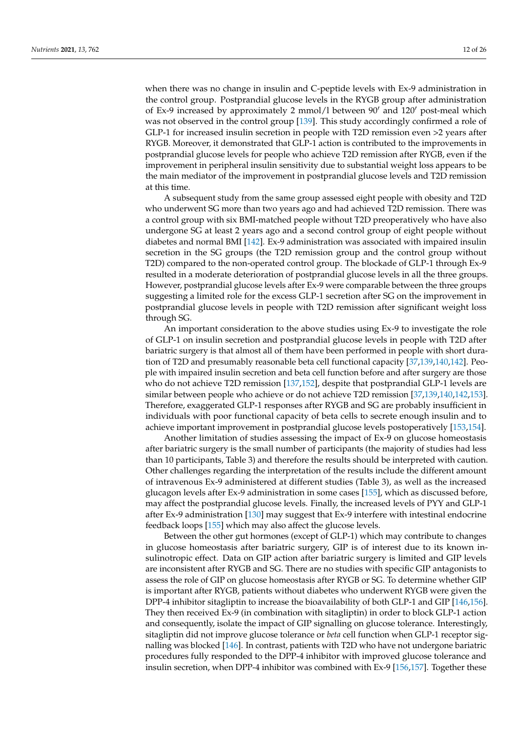when there was no change in insulin and C-peptide levels with Ex-9 administration in the control group. Postprandial glucose levels in the RYGB group after administration of Ex-9 increased by approximately 2 mmol/l between  $90'$  and  $120'$  post-meal which was not observed in the control group [\[139\]](#page-23-22). This study accordingly confirmed a role of GLP-1 for increased insulin secretion in people with T2D remission even >2 years after RYGB. Moreover, it demonstrated that GLP-1 action is contributed to the improvements in postprandial glucose levels for people who achieve T2D remission after RYGB, even if the improvement in peripheral insulin sensitivity due to substantial weight loss appears to be the main mediator of the improvement in postprandial glucose levels and T2D remission at this time.

A subsequent study from the same group assessed eight people with obesity and T2D who underwent SG more than two years ago and had achieved T2D remission. There was a control group with six BMI-matched people without T2D preoperatively who have also undergone SG at least 2 years ago and a second control group of eight people without diabetes and normal BMI [\[142\]](#page-23-24). Ex-9 administration was associated with impaired insulin secretion in the SG groups (the T2D remission group and the control group without T2D) compared to the non-operated control group. The blockade of GLP-1 through Ex-9 resulted in a moderate deterioration of postprandial glucose levels in all the three groups. However, postprandial glucose levels after Ex-9 were comparable between the three groups suggesting a limited role for the excess GLP-1 secretion after SG on the improvement in postprandial glucose levels in people with T2D remission after significant weight loss through SG.

An important consideration to the above studies using Ex-9 to investigate the role of GLP-1 on insulin secretion and postprandial glucose levels in people with T2D after bariatric surgery is that almost all of them have been performed in people with short duration of T2D and presumably reasonable beta cell functional capacity [\[37](#page-19-11)[,139,](#page-23-22)[140,](#page-23-25)[142\]](#page-23-24). People with impaired insulin secretion and beta cell function before and after surgery are those who do not achieve T2D remission [\[137,](#page-23-26)[152\]](#page-24-6), despite that postprandial GLP-1 levels are similar between people who achieve or do not achieve T2D remission [\[37](#page-19-11)[,139](#page-23-22)[,140](#page-23-25)[,142](#page-23-24)[,153\]](#page-24-7). Therefore, exaggerated GLP-1 responses after RYGB and SG are probably insufficient in individuals with poor functional capacity of beta cells to secrete enough insulin and to achieve important improvement in postprandial glucose levels postoperatively [\[153,](#page-24-7)[154\]](#page-24-8).

Another limitation of studies assessing the impact of Ex-9 on glucose homeostasis after bariatric surgery is the small number of participants (the majority of studies had less than 10 participants, Table 3) and therefore the results should be interpreted with caution. Other challenges regarding the interpretation of the results include the different amount of intravenous Ex-9 administered at different studies (Table 3), as well as the increased glucagon levels after Ex-9 administration in some cases [\[155\]](#page-24-9), which as discussed before, may affect the postprandial glucose levels. Finally, the increased levels of PYY and GLP-1 after Ex-9 administration [\[130\]](#page-23-12) may suggest that Ex-9 interfere with intestinal endocrine feedback loops [\[155\]](#page-24-9) which may also affect the glucose levels.

Between the other gut hormones (except of GLP-1) which may contribute to changes in glucose homeostasis after bariatric surgery, GIP is of interest due to its known insulinotropic effect. Data on GIP action after bariatric surgery is limited and GIP levels are inconsistent after RYGB and SG. There are no studies with specific GIP antagonists to assess the role of GIP on glucose homeostasis after RYGB or SG. To determine whether GIP is important after RYGB, patients without diabetes who underwent RYGB were given the DPP-4 inhibitor sitagliptin to increase the bioavailability of both GLP-1 and GIP [\[146](#page-24-0)[,156\]](#page-24-10). They then received Ex-9 (in combination with sitagliptin) in order to block GLP-1 action and consequently, isolate the impact of GIP signalling on glucose tolerance. Interestingly, sitagliptin did not improve glucose tolerance or *beta* cell function when GLP-1 receptor signalling was blocked [\[146\]](#page-24-0). In contrast, patients with T2D who have not undergone bariatric procedures fully responded to the DPP-4 inhibitor with improved glucose tolerance and insulin secretion, when DPP-4 inhibitor was combined with Ex-9 [\[156,](#page-24-10)[157\]](#page-24-11). Together these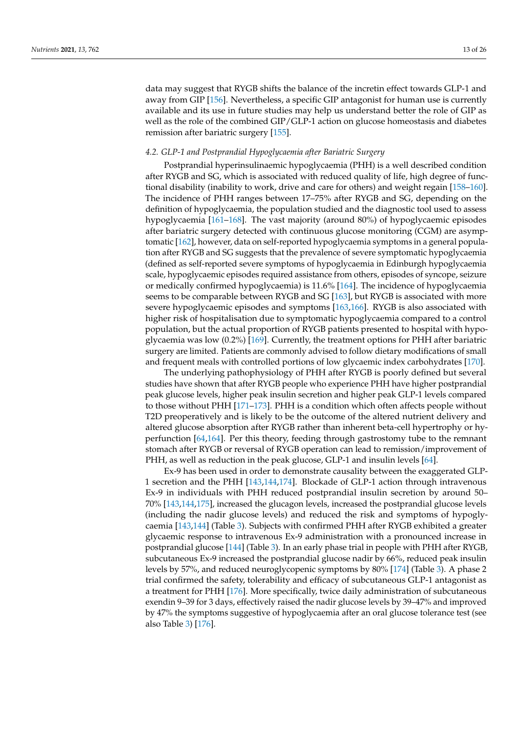data may suggest that RYGB shifts the balance of the incretin effect towards GLP-1 and away from GIP [\[156\]](#page-24-10). Nevertheless, a specific GIP antagonist for human use is currently available and its use in future studies may help us understand better the role of GIP as well as the role of the combined GIP/GLP-1 action on glucose homeostasis and diabetes remission after bariatric surgery [\[155\]](#page-24-9).

## <span id="page-12-0"></span>*4.2. GLP-1 and Postprandial Hypoglycaemia after Bariatric Surgery*

Postprandial hyperinsulinaemic hypoglycaemia (PHH) is a well described condition after RYGB and SG, which is associated with reduced quality of life, high degree of functional disability (inability to work, drive and care for others) and weight regain [\[158](#page-24-12)[–160\]](#page-24-13). The incidence of PHH ranges between 17–75% after RYGB and SG, depending on the definition of hypoglycaemia, the population studied and the diagnostic tool used to assess hypoglycaemia [\[161–](#page-24-14)[168\]](#page-25-0). The vast majority (around 80%) of hypoglycaemic episodes after bariatric surgery detected with continuous glucose monitoring (CGM) are asymptomatic [\[162\]](#page-24-15), however, data on self-reported hypoglycaemia symptoms in a general population after RYGB and SG suggests that the prevalence of severe symptomatic hypoglycaemia (defined as self-reported severe symptoms of hypoglycaemia in Edinburgh hypoglycaemia scale, hypoglycaemic episodes required assistance from others, episodes of syncope, seizure or medically confirmed hypoglycaemia) is 11.6% [\[164\]](#page-24-16). The incidence of hypoglycaemia seems to be comparable between RYGB and SG [\[163\]](#page-24-17), but RYGB is associated with more severe hypoglycaemic episodes and symptoms [\[163,](#page-24-17)[166\]](#page-24-18). RYGB is also associated with higher risk of hospitalisation due to symptomatic hypoglycaemia compared to a control population, but the actual proportion of RYGB patients presented to hospital with hypoglycaemia was low (0.2%) [\[169\]](#page-25-1). Currently, the treatment options for PHH after bariatric surgery are limited. Patients are commonly advised to follow dietary modifications of small and frequent meals with controlled portions of low glycaemic index carbohydrates [\[170\]](#page-25-2).

The underlying pathophysiology of PHH after RYGB is poorly defined but several studies have shown that after RYGB people who experience PHH have higher postprandial peak glucose levels, higher peak insulin secretion and higher peak GLP-1 levels compared to those without PHH [\[171–](#page-25-3)[173\]](#page-25-4). PHH is a condition which often affects people without T2D preoperatively and is likely to be the outcome of the altered nutrient delivery and altered glucose absorption after RYGB rather than inherent beta-cell hypertrophy or hyperfunction [\[64](#page-20-17)[,164\]](#page-24-16). Per this theory, feeding through gastrostomy tube to the remnant stomach after RYGB or reversal of RYGB operation can lead to remission/improvement of PHH, as well as reduction in the peak glucose, GLP-1 and insulin levels [\[64\]](#page-20-17).

Ex-9 has been used in order to demonstrate causality between the exaggerated GLP-1 secretion and the PHH [\[143](#page-23-27)[,144](#page-24-19)[,174\]](#page-25-5). Blockade of GLP-1 action through intravenous Ex-9 in individuals with PHH reduced postprandial insulin secretion by around 50– 70% [\[143,](#page-23-27)[144,](#page-24-19)[175\]](#page-25-6), increased the glucagon levels, increased the postprandial glucose levels (including the nadir glucose levels) and reduced the risk and symptoms of hypoglycaemia [\[143,](#page-23-27)[144\]](#page-24-19) (Table [3\)](#page-16-0). Subjects with confirmed PHH after RYGB exhibited a greater glycaemic response to intravenous Ex-9 administration with a pronounced increase in postprandial glucose [\[144\]](#page-24-19) (Table [3\)](#page-16-0). In an early phase trial in people with PHH after RYGB, subcutaneous Ex-9 increased the postprandial glucose nadir by 66%, reduced peak insulin levels by 57%, and reduced neuroglycopenic symptoms by 80% [\[174\]](#page-25-5) (Table [3\)](#page-16-0). A phase 2 trial confirmed the safety, tolerability and efficacy of subcutaneous GLP-1 antagonist as a treatment for PHH [\[176\]](#page-25-7). More specifically, twice daily administration of subcutaneous exendin 9–39 for 3 days, effectively raised the nadir glucose levels by 39–47% and improved by 47% the symptoms suggestive of hypoglycaemia after an oral glucose tolerance test (see also Table [3\)](#page-16-0) [\[176\]](#page-25-7).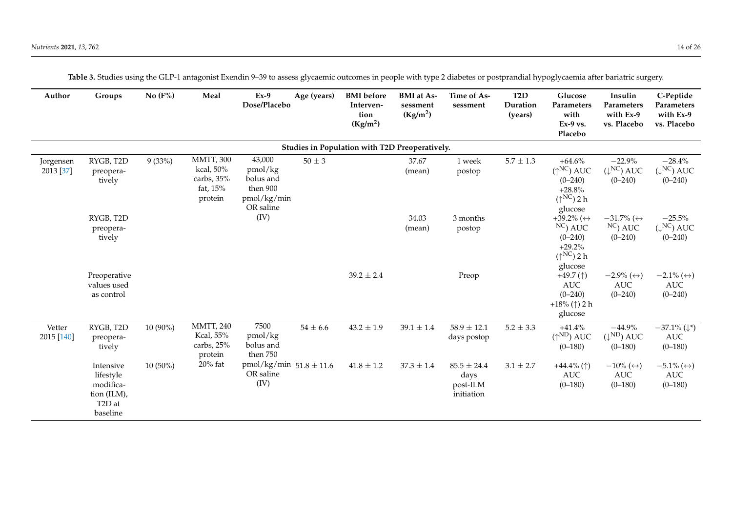| Author                 | Groups                                                                                | No $(F%)$  | Meal                                                               | $Ex-9$<br>Dose/Placebo                                                 | Age (years)  | <b>BMI</b> before<br>Interven-<br>tion<br>(Kg/m <sup>2</sup> ) | <b>BMI</b> at As-<br>sessment<br>(Kg/m <sup>2</sup> ) | Time of As-<br>sessment                           | T <sub>2</sub> D<br>Duration<br>(years) | Glucose<br>Parameters<br>with<br>$Ex-9$ vs.<br>Placebo                                                  | Insulin<br>Parameters<br>with Ex-9<br>vs. Placebo               | C-Peptide<br>Parameters<br>with Ex-9<br>vs. Placebo             |
|------------------------|---------------------------------------------------------------------------------------|------------|--------------------------------------------------------------------|------------------------------------------------------------------------|--------------|----------------------------------------------------------------|-------------------------------------------------------|---------------------------------------------------|-----------------------------------------|---------------------------------------------------------------------------------------------------------|-----------------------------------------------------------------|-----------------------------------------------------------------|
|                        |                                                                                       |            |                                                                    |                                                                        |              | Studies in Population with T2D Preoperatively.                 |                                                       |                                                   |                                         |                                                                                                         |                                                                 |                                                                 |
| Jorgensen<br>2013 [37] | RYGB, T2D<br>preopera-<br>tively                                                      | 9(33%)     | <b>MMTT, 300</b><br>kcal, 50%<br>carbs, 35%<br>fat, 15%<br>protein | 43,000<br>pmol/kg<br>bolus and<br>then 900<br>pmol/kg/min<br>OR saline | $50 \pm 3$   |                                                                | 37.67<br>(mean)                                       | 1 week<br>postop                                  | $5.7\pm1.3$                             | $+64.6%$<br>$(\uparrow^{\text{NC}})$ AUC<br>$(0 - 240)$<br>$+28.8%$<br>$(\uparrow^{NC})$ 2 h<br>glucose | $-22.9%$<br>$(\downarrow^{\text{NC}})$ AUC<br>$(0 - 240)$       | $-28.4%$<br>$(\downarrow^{\text{NC}})$ AUC<br>$(0 - 240)$       |
|                        | RYGB, T2D<br>preopera-<br>tively                                                      |            |                                                                    | (IV)                                                                   |              |                                                                | 34.03<br>(mean)                                       | 3 months<br>postop                                |                                         | +39.2% ( $\leftrightarrow$<br>$NC$ ) AUC<br>$(0 - 240)$<br>$+29.2%$<br>$(\uparrow^{NC})$ 2 h<br>glucose | $-31.7\%$ ( $\leftrightarrow$<br>$NC$ ) AUC<br>$(0 - 240)$      | $-25.5%$<br>$(\downarrow^\text{NC})$ AUC<br>$(0 - 240)$         |
|                        | Preoperative<br>values used<br>as control                                             |            |                                                                    |                                                                        |              | $39.2 \pm 2.4$                                                 |                                                       | Preop                                             |                                         | +49.7 $($ $\uparrow$ )<br>$\mathbf{AUC}$<br>$(0 - 240)$<br>$+18\%$ (†) 2 h<br>glucose                   | $-2.9\%$ ( $\leftrightarrow$ )<br>$\mathbf{AUC}$<br>$(0 - 240)$ | $-2.1\%$ ( $\leftrightarrow$ )<br>$\mathbf{AUC}$<br>$(0 - 240)$ |
| Vetter<br>2015 [140]   | RYGB, T2D<br>preopera-<br>tively                                                      | 10 (90%)   | <b>MMTT, 240</b><br>Kcal, 55%<br>carbs, 25%<br>protein             | 7500<br>pmol/kg<br>bolus and<br>then 750                               | $54 \pm 6.6$ | $43.2 \pm 1.9$                                                 | $39.1 \pm 1.4$                                        | $58.9 \pm 12.1$<br>days postop                    | $5.2 \pm 3.3$                           | $+41.4%$<br>$(\uparrow^{ND})$ AUC<br>$(0 - 180)$                                                        | $-44.9%$<br>$(\downarrow^{\text{ND}})$ AUC<br>$(0 - 180)$       | $-37.1\%$ ( $\downarrow^*$ )<br>$\mathbf{AUC}$<br>$(0 - 180)$   |
|                        | Intensive<br>lifestyle<br>modifica-<br>tion (ILM),<br>T <sub>2</sub> D at<br>baseline | $10(50\%)$ | $20\%$ fat                                                         | pmol/kg/min $51.8 \pm 11.6$<br>OR saline<br>(IV)                       |              | $41.8 \pm 1.2$                                                 | $37.3 \pm 1.4$                                        | $85.5 \pm 24.4$<br>days<br>post-ILM<br>initiation | $3.1 \pm 2.7$                           | +44.4% $($ $\uparrow$ )<br>AUC<br>$(0 - 180)$                                                           | $-10\%$ ( $\leftrightarrow$ )<br>AUC<br>$(0 - 180)$             | $-5.1\%$ ( $\leftrightarrow$ )<br><b>AUC</b><br>$(0 - 180)$     |

**Table 3.** Studies using the GLP-1 antagonist Exendin 9–39 to assess glycaemic outcomes in people with type 2 diabetes or postprandial hypoglycaemia after bariatric surgery.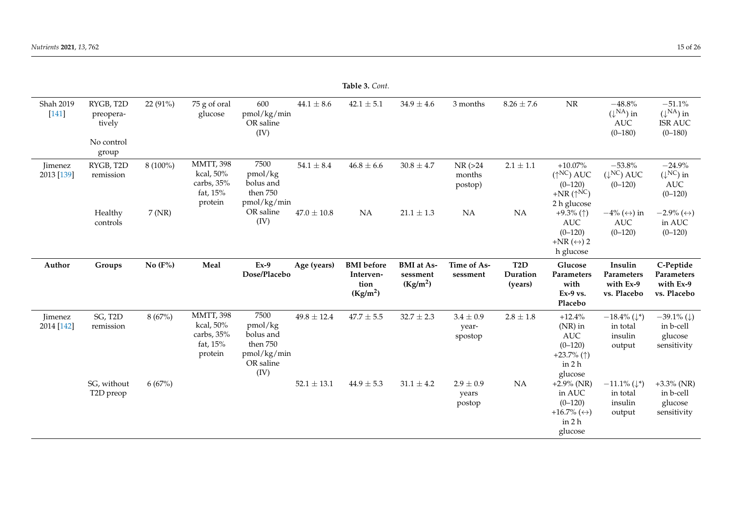|                              | <b>Table 3. Cont.</b>                                   |            |                                                                        |                                                                              |                 |                                                                |                                                       |                                   |                                         |                                                                                              |                                                                         |                                                                          |
|------------------------------|---------------------------------------------------------|------------|------------------------------------------------------------------------|------------------------------------------------------------------------------|-----------------|----------------------------------------------------------------|-------------------------------------------------------|-----------------------------------|-----------------------------------------|----------------------------------------------------------------------------------------------|-------------------------------------------------------------------------|--------------------------------------------------------------------------|
| Shah 2019<br>$[141]$         | RYGB, T2D<br>preopera-<br>tively<br>No control<br>group | 22 (91%)   | $75$ g of oral<br>glucose                                              | 600<br>pmol/kg/min<br>OR saline<br>(IV)                                      | $44.1 \pm 8.6$  | $42.1 \pm 5.1$                                                 | $34.9 \pm 4.6$                                        | 3 months                          | $8.26 \pm 7.6$                          | $\rm{NR}$                                                                                    | $-48.8\%$<br>$(\downarrow^{\text{NA}})$ in<br><b>AUC</b><br>$(0 - 180)$ | $-51.1%$<br>$(\downarrow^{\text{NA}})$ in<br><b>ISR AUC</b><br>$(0-180)$ |
| <b>Jimenez</b><br>2013 [139] | RYGB, T2D<br>remission                                  | $8(100\%)$ | <b>MMTT, 398</b><br>kcal, 50%<br>carbs, $35%$<br>fat, $15%$<br>protein | 7500<br>pmol/kg<br>bolus and<br>then 750<br>pmol/kg/min                      | $54.1 \pm 8.4$  | $46.8 \pm 6.6$                                                 | $30.8 \pm 4.7$                                        | $NR$ ( $>24$<br>months<br>postop) | $2.1\pm1.1$                             | $+10.07\%$<br>$(\uparrow^{\rm NC})$ AUC<br>$(0-120)$<br>+NR $(\uparrow^{NC})$<br>2 h glucose | $-53.8%$<br>$(\downarrow^{\text{NC}})$ AUC<br>$(0-120)$                 | $-24.9%$<br>$(\downarrow^{\text{NC}})$ in<br>AUC<br>$(0-120)$            |
|                              | Healthy<br>controls                                     | 7(NR)      |                                                                        | OR saline<br>(IV)                                                            | $47.0\pm10.8$   | NA                                                             | $21.1 \pm 1.3$                                        | NA                                | NA                                      | +9.3% ( $\uparrow$ )<br><b>AUC</b><br>$(0-120)$<br>+NR $(\leftrightarrow)$ 2<br>h glucose    | $-4\%$ ( $\leftrightarrow$ ) in<br>AUC<br>$(0-120)$                     | $-2.9\%$ ( $\leftrightarrow$ )<br>in AUC<br>$(0-120)$                    |
| Author                       | Groups                                                  | No $(F% )$ | Meal                                                                   | $Ex-9$<br>Dose/Placebo                                                       | Age (years)     | <b>BMI</b> before<br>Interven-<br>tion<br>(Kg/m <sup>2</sup> ) | <b>BMI</b> at As-<br>sessment<br>(Kg/m <sup>2</sup> ) | Time of As-<br>sessment           | T <sub>2</sub> D<br>Duration<br>(years) | Glucose<br>Parameters<br>with<br>$Ex-9$ vs.<br>Placebo                                       | Insulin<br>Parameters<br>with Ex-9<br>vs. Placebo                       | C-Peptide<br>Parameters<br>with Ex-9<br>vs. Placebo                      |
| Jimenez<br>2014 [142]        | SG, T2D<br>remission                                    | 8(67%)     | <b>MMTT, 398</b><br>kcal, 50%<br>carbs, 35%<br>fat, $15%$<br>protein   | 7500<br>pmol/kg<br>bolus and<br>then 750<br>pmol/kg/min<br>OR saline<br>(IV) | $49.8 \pm 12.4$ | $47.7 \pm 5.5$                                                 | $32.7 \pm 2.3$                                        | $3.4 \pm 0.9$<br>year-<br>spostop | $2.8\pm1.8$                             | $+12.4%$<br>$(NR)$ in<br>AUC<br>$(0-120)$<br>+23.7% $($ 1)<br>in 2 h<br>glucose              | $-18.4\%$ ( $\downarrow^*$ )<br>in total<br>insulin<br>output           | $-39.1\%$ ( $\downarrow$ )<br>in b-cell<br>glucose<br>sensitivity        |
|                              | SG, without<br>T2D preop                                | 6(67%)     |                                                                        |                                                                              | $52.1 \pm 13.1$ | $44.9 \pm 5.3$                                                 | $31.1 \pm 4.2$                                        | $2.9 \pm 0.9$<br>years<br>postop  | <b>NA</b>                               | $+2.9\%$ (NR)<br>in AUC<br>$(0-120)$<br>$+16.7\%$ ( $\leftrightarrow$ )<br>in 2 h<br>glucose | $-11.1\%$ ( $\downarrow^*$ )<br>in total<br>insulin<br>output           | $+3.3\%$ (NR)<br>in b-cell<br>glucose<br>sensitivity                     |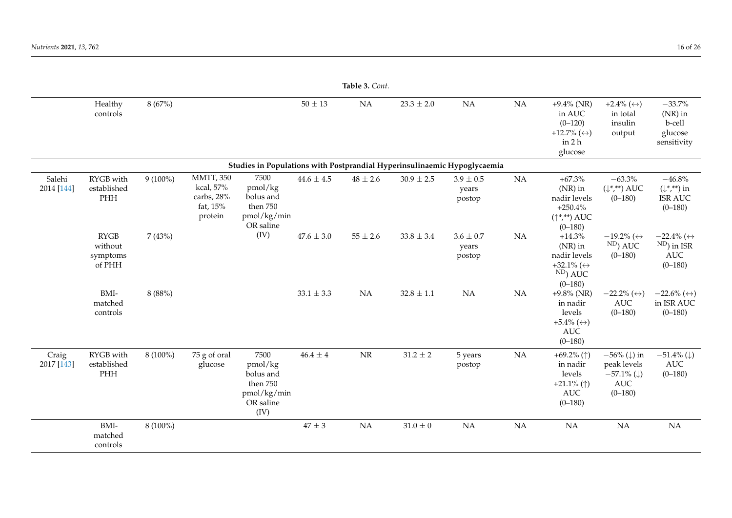| Table 3. Cont.       |                                              |            |                                                                    |                                                                              |                |              |                |                                  |           |                                                                                                |                                                                                                       |                                                                                      |
|----------------------|----------------------------------------------|------------|--------------------------------------------------------------------|------------------------------------------------------------------------------|----------------|--------------|----------------|----------------------------------|-----------|------------------------------------------------------------------------------------------------|-------------------------------------------------------------------------------------------------------|--------------------------------------------------------------------------------------|
|                      | Healthy<br>controls                          | 8(67%)     |                                                                    |                                                                              | $50\pm13$      | NA           | $23.3 \pm 2.0$ | <b>NA</b>                        | NA        | $+9.4\%$ (NR)<br>in AUC<br>$(0-120)$<br>$+12.7\%$ ( $\leftrightarrow$ )<br>in 2 h<br>glucose   | +2.4% $(\leftrightarrow)$<br>in total<br>insulin<br>output                                            | $-33.7%$<br>$(NR)$ in<br>b-cell<br>glucose<br>sensitivity                            |
|                      |                                              |            |                                                                    | Studies in Populations with Postprandial Hyperinsulinaemic Hypoglycaemia     |                |              |                |                                  |           |                                                                                                |                                                                                                       |                                                                                      |
| Salehi<br>2014 [144] | RYGB with<br>established<br>PHH              | $9(100\%)$ | <b>MMTT, 350</b><br>kcal, 57%<br>carbs, 28%<br>fat, 15%<br>protein | 7500<br>pmol/kg<br>bolus and<br>then 750<br>pmol/kg/min<br>OR saline         | $44.6 \pm 4.5$ | $48 \pm 2.6$ | $30.9 \pm 2.5$ | $3.9 \pm 0.5$<br>years<br>postop | NA        | $+67.3%$<br>$(NR)$ in<br>nadir levels<br>$+250.4\%$<br>$(\uparrow^*,^{**})$ AUC<br>$(0 - 180)$ | $-63.3\%$<br>$(\downarrow^*,^{**})$ AUC<br>$(0 - 180)$                                                | $-46.8%$<br>$(\downarrow^*,^{**})$ in<br><b>ISR AUC</b><br>$(0-180)$                 |
|                      | <b>RYGB</b><br>without<br>symptoms<br>of PHH | 7(43%)     |                                                                    | (IV)                                                                         | $47.6 \pm 3.0$ | $55 \pm 2.6$ | $33.8\pm3.4$   | $3.6 \pm 0.7$<br>years<br>postop | <b>NA</b> | $+14.3%$<br>$(NR)$ in<br>nadir levels<br>+32.1% ( $\leftrightarrow$<br>$ND$ ) AUC<br>$(0-180)$ | $-19.2\%$ ( $\leftrightarrow$<br><sup>ND</sup> ) AUC<br>$(0-180)$                                     | $-22.4\%$ ( $\leftrightarrow$<br><sup>ND</sup> ) in ISR<br><b>AUC</b><br>$(0 - 180)$ |
|                      | BMI-<br>matched<br>controls                  | 8(88%)     |                                                                    |                                                                              | $33.1 \pm 3.3$ | <b>NA</b>    | $32.8\pm1.1$   | <b>NA</b>                        | <b>NA</b> | $+9.8\%$ (NR)<br>in nadir<br>levels<br>$+5.4\%$ ( $\leftrightarrow$ )<br>AUC<br>$(0 - 180)$    | $-22.2\%$ ( $\leftrightarrow$ )<br>AUC<br>$(0-180)$                                                   | $-22.6\%$ ( $\leftrightarrow$ )<br>in ISR AUC<br>$(0-180)$                           |
| Craig<br>2017 [143]  | RYGB with<br>established<br>$\mathbf{PHH}$   | 8 (100%)   | 75 g of oral<br>glucose                                            | 7500<br>pmol/kg<br>bolus and<br>then 750<br>pmol/kg/min<br>OR saline<br>(IV) | $46.4\pm4$     | $\rm{NR}$    | $31.2\pm2$     | 5 years<br>postop                | NA        | +69.2% $(\uparrow)$<br>in nadir<br>levels<br>+21.1% $(\uparrow)$<br>AUC<br>$(0 - 180)$         | $-56\%$ ( $\downarrow$ ) in<br>peak levels<br>$-57.1\%$ ( $\downarrow$ )<br><b>AUC</b><br>$(0 - 180)$ | $-51.4\%$ ( $\downarrow$ )<br>AUC<br>$(0 - 180)$                                     |
|                      | BMI-<br>matched<br>controls                  | $8(100\%)$ |                                                                    |                                                                              | $47\pm3$       | NA           | $31.0\pm0$     | NA                               | <b>NA</b> | NA                                                                                             | <b>NA</b>                                                                                             | <b>NA</b>                                                                            |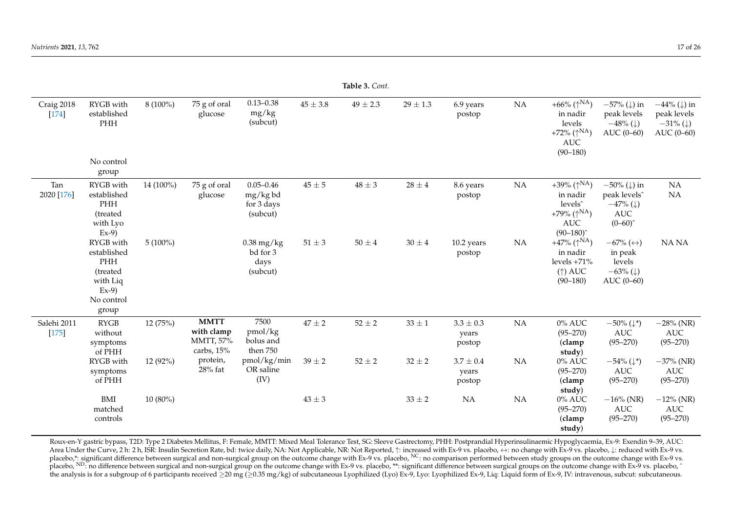|                        | <b>Table 3.</b> Cont.                                                                    |            |                                                      |                                                     |              |              |            |                                  |           |                                                                                                                                      |                                                                                                              |                                                                                      |
|------------------------|------------------------------------------------------------------------------------------|------------|------------------------------------------------------|-----------------------------------------------------|--------------|--------------|------------|----------------------------------|-----------|--------------------------------------------------------------------------------------------------------------------------------------|--------------------------------------------------------------------------------------------------------------|--------------------------------------------------------------------------------------|
| Craig 2018<br>$[174]$  | RYGB with<br>established<br>PHH<br>No control<br>group                                   | $8(100\%)$ | 75 g of oral<br>glucose                              | $0.13 - 0.38$<br>mg/kg<br>(subcut)                  | $45 \pm 3.8$ | $49 \pm 2.3$ | $29\pm1.3$ | 6.9 years<br>postop              | <b>NA</b> | +66% ( $\uparrow^{\text{NA}}$ )<br>in nadir<br>levels<br>+72% ( $\uparrow^{NA}$ )<br>$\mathbf{AUC}$<br>$(90 - 180)$                  | $-57\%$ ( $\downarrow$ ) in<br>peak levels<br>$-48\%$ ( $\downarrow$ )<br>AUC (0-60)                         | $-44\%$ ( $\downarrow$ ) in<br>peak levels<br>$-31\%$ ( $\downarrow$ )<br>AUC (0-60) |
| Tan<br>2020 [176]      | RYGB with<br>established<br>PHH<br>(treated<br>with Lyo<br>$Ex-9$                        | 14 (100%)  | 75 g of oral<br>glucose                              | $0.05 - 0.46$<br>mg/kg bd<br>for 3 days<br>(subcut) | $45\pm5$     | $48\pm3$     | $28\pm4$   | 8.6 years<br>postop              | <b>NA</b> | +39% ( $\uparrow$ <sup>NA</sup> )<br>in nadir<br>levels <sup>^</sup><br>+79% ( $\uparrow^{NA}$ )<br>AUC<br>$(90 - 180)$ <sup>*</sup> | $-50\%$ ( $\downarrow$ ) in<br>peak levels <sup>^</sup><br>$-47\%$ ( $\downarrow$ )<br>AUC<br>$(0 - 60)^{2}$ | NA<br>NA                                                                             |
|                        | RYGB with<br>established<br>PHH<br>(treated<br>with Liq<br>$Ex-9$<br>No control<br>group | $5(100\%)$ |                                                      | $0.38$ mg/kg<br>bd for 3<br>days<br>(subcut)        | $51\pm3$     | $50\pm4$     | $30\pm4$   | 10.2 years<br>postop             | <b>NA</b> | +47% ( $\uparrow^{\text{NA}}$ )<br>in nadir<br>levels $+71%$<br>$(\uparrow)$ AUC<br>$(90 - 180)$                                     | $-67\%$ ( $\leftrightarrow$ )<br>in peak<br>levels<br>$-63\%$ ( $\downarrow$ )<br>AUC (0-60)                 | NA NA                                                                                |
| Salehi 2011<br>$[175]$ | <b>RYGB</b><br>without<br>symptoms<br>of PHH                                             | 12(75%)    | <b>MMTT</b><br>with clamp<br>MMTT, 57%<br>carbs, 15% | 7500<br>pmol/kg<br>bolus and<br>then 750            | $47\pm2$     | $52\pm2$     | $33\pm1$   | $3.3 \pm 0.3$<br>years<br>postop | <b>NA</b> | $0\%$ AUC<br>$(95 - 270)$<br>(clamp<br>study)                                                                                        | $-50\%$ ( $\downarrow^*$ )<br>$\mathbf{AUC}$<br>$(95 - 270)$                                                 | $-28\%$ (NR)<br>AUC<br>$(95 - 270)$                                                  |
|                        | RYGB with<br>symptoms<br>of PHH                                                          | 12 (92%)   | protein,<br>$28%$ fat                                | pmol/kg/min<br>OR saline<br>(IV)                    | $39 \pm 2$   | $52\pm2$     | $32 \pm 2$ | $3.7 \pm 0.4$<br>years<br>postop | <b>NA</b> | $0\%$ AUC<br>$(95 - 270)$<br>(clamp<br>study)                                                                                        | $-54\%$ ( $\downarrow^*$ )<br>$\mathbf{AUC}$<br>$(95 - 270)$                                                 | $-37\%$ (NR)<br>AUC<br>$(95 - 270)$                                                  |
|                        | BMI<br>matched<br>controls                                                               | $10(80\%)$ |                                                      |                                                     | $43\pm3$     |              | $33 \pm 2$ | NA                               | <b>NA</b> | $0\%$ AUC<br>$(95 - 270)$<br>(clamp<br>study)                                                                                        | $-16\%$ (NR)<br>$\mathbf{AUC}$<br>$(95 - 270)$                                                               | $-12\%$ (NR)<br>AUC<br>$(95 - 270)$                                                  |

<span id="page-16-0"></span>Roux-en-Y gastric bypass, T2D: Type 2 Diabetes Mellitus, F: Female, MMTT: Mixed Meal Tolerance Test, SG: Sleeve Gastrectomy, PHH: Postprandial Hyperinsulinaemic Hypoglycaemia, Ex-9: Exendin 9–39, AUC: Area Under the Curve, 2 h: 2 h, ISR: Insulin Secretion Rate, bd: twice daily, NA: Not Applicable, NR: Not Reported, ↑: increased with Ex-9 vs. placebo, ↔: no change with Ex-9 vs. placebo, ↓: reduced with Ex-9 vs. placebo,\*: significant difference between surgical and non-surgical group on the outcome change with Ex-9 vs. placebo, <sup>NC</sup>: no comparison performed between study groups on the outcome change with Ex-9 vs. placebo, <sup>ND</sup>: no difference between surgical and non-surgical group on the outcome change with Ex-9 vs. placebo, <sup>\*\*</sup>: significant difference between surgical groups on the outcome change with Ex-9 vs. placebo, ^ the analysis is for a subgroup of 6 participants received ≥20 mg (≥0.35 mg/kg) of subcutaneous Lyophilized (Lyo) Ex-9, Lyo: Lyophilized Ex-9, Liq: Liquid form of Ex-9, IV: intravenous, subcut: subcutaneous.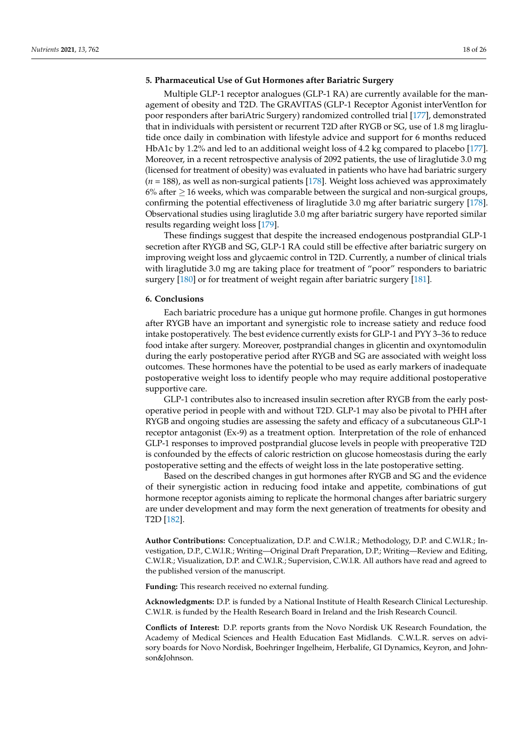### **5. Pharmaceutical Use of Gut Hormones after Bariatric Surgery**

Multiple GLP-1 receptor analogues (GLP-1 RA) are currently available for the management of obesity and T2D. The GRAVITAS (GLP-1 Receptor Agonist interVentIon for poor responders after bariAtric Surgery) randomized controlled trial [\[177\]](#page-25-11), demonstrated that in individuals with persistent or recurrent T2D after RYGB or SG, use of 1.8 mg liraglutide once daily in combination with lifestyle advice and support for 6 months reduced HbA1c by 1.2% and led to an additional weight loss of 4.2 kg compared to placebo [\[177\]](#page-25-11). Moreover, in a recent retrospective analysis of 2092 patients, the use of liraglutide 3.0 mg (licensed for treatment of obesity) was evaluated in patients who have had bariatric surgery (*n* = 188), as well as non-surgical patients [\[178\]](#page-25-12). Weight loss achieved was approximately  $6\%$  after  $\geq 16$  weeks, which was comparable between the surgical and non-surgical groups, confirming the potential effectiveness of liraglutide 3.0 mg after bariatric surgery [\[178\]](#page-25-12). Observational studies using liraglutide 3.0 mg after bariatric surgery have reported similar results regarding weight loss [\[179\]](#page-25-13).

These findings suggest that despite the increased endogenous postprandial GLP-1 secretion after RYGB and SG, GLP-1 RA could still be effective after bariatric surgery on improving weight loss and glycaemic control in T2D. Currently, a number of clinical trials with liraglutide 3.0 mg are taking place for treatment of "poor" responders to bariatric surgery [\[180\]](#page-25-14) or for treatment of weight regain after bariatric surgery [\[181\]](#page-25-15).

### **6. Conclusions**

Each bariatric procedure has a unique gut hormone profile. Changes in gut hormones after RYGB have an important and synergistic role to increase satiety and reduce food intake postoperatively. The best evidence currently exists for GLP-1 and PYY 3–36 to reduce food intake after surgery. Moreover, postprandial changes in glicentin and oxyntomodulin during the early postoperative period after RYGB and SG are associated with weight loss outcomes. These hormones have the potential to be used as early markers of inadequate postoperative weight loss to identify people who may require additional postoperative supportive care.

GLP-1 contributes also to increased insulin secretion after RYGB from the early postoperative period in people with and without T2D. GLP-1 may also be pivotal to PHH after RYGB and ongoing studies are assessing the safety and efficacy of a subcutaneous GLP-1 receptor antagonist (Ex-9) as a treatment option. Interpretation of the role of enhanced GLP-1 responses to improved postprandial glucose levels in people with preoperative T2D is confounded by the effects of caloric restriction on glucose homeostasis during the early postoperative setting and the effects of weight loss in the late postoperative setting.

Based on the described changes in gut hormones after RYGB and SG and the evidence of their synergistic action in reducing food intake and appetite, combinations of gut hormone receptor agonists aiming to replicate the hormonal changes after bariatric surgery are under development and may form the next generation of treatments for obesity and T2D [\[182\]](#page-25-16).

**Author Contributions:** Conceptualization, D.P. and C.W.l.R.; Methodology, D.P. and C.W.l.R.; Investigation, D.P., C.W.l.R.; Writing—Original Draft Preparation, D.P.; Writing—Review and Editing, C.W.l.R.; Visualization, D.P. and C.W.l.R.; Supervision, C.W.l.R. All authors have read and agreed to the published version of the manuscript.

**Funding:** This research received no external funding.

**Acknowledgments:** D.P. is funded by a National Institute of Health Research Clinical Lectureship. C.W.l.R. is funded by the Health Research Board in Ireland and the Irish Research Council.

**Conflicts of Interest:** D.P. reports grants from the Novo Nordisk UK Research Foundation, the Academy of Medical Sciences and Health Education East Midlands. C.W.L.R. serves on advisory boards for Novo Nordisk, Boehringer Ingelheim, Herbalife, GI Dynamics, Keyron, and Johnson&Johnson.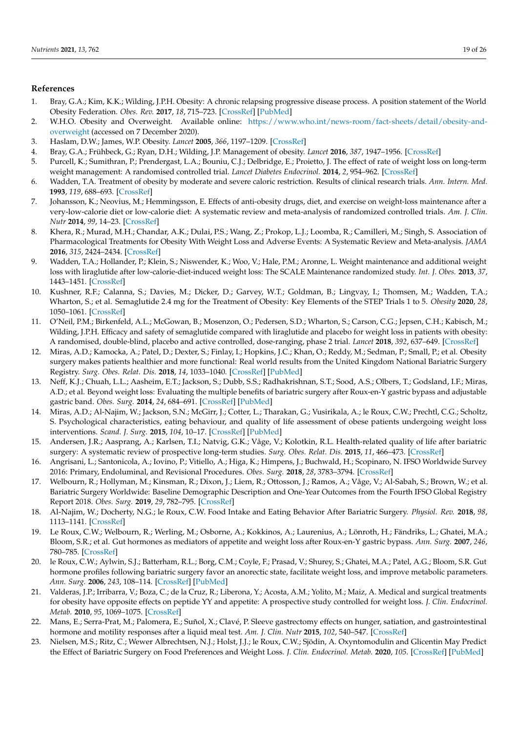## <span id="page-18-20"></span>**References**

- <span id="page-18-0"></span>1. Bray, G.A.; Kim, K.K.; Wilding, J.P.H. Obesity: A chronic relapsing progressive disease process. A position statement of the World Obesity Federation. *Obes. Rev.* **2017**, *18*, 715–723. [\[CrossRef\]](http://doi.org/10.1111/obr.12551) [\[PubMed\]](http://www.ncbi.nlm.nih.gov/pubmed/28489290)
- <span id="page-18-1"></span>2. W.H.O. Obesity and Overweight. Available online: [https://www.who.int/news-room/fact-sheets/detail/obesity-and](https://www.who.int/news-room/fact-sheets/detail/obesity-and-overweight)[overweight](https://www.who.int/news-room/fact-sheets/detail/obesity-and-overweight) (accessed on 7 December 2020).
- <span id="page-18-2"></span>3. Haslam, D.W.; James, W.P. Obesity. *Lancet* **2005**, *366*, 1197–1209. [\[CrossRef\]](http://doi.org/10.1016/S0140-6736(05)67483-1)
- <span id="page-18-3"></span>4. Bray, G.A.; Frühbeck, G.; Ryan, D.H.; Wilding, J.P. Management of obesity. *Lancet* **2016**, *387*, 1947–1956. [\[CrossRef\]](http://doi.org/10.1016/S0140-6736(16)00271-3)
- <span id="page-18-4"></span>5. Purcell, K.; Sumithran, P.; Prendergast, L.A.; Bouniu, C.J.; Delbridge, E.; Proietto, J. The effect of rate of weight loss on long-term weight management: A randomised controlled trial. *Lancet Diabetes Endocrinol.* **2014**, *2*, 954–962. [\[CrossRef\]](http://doi.org/10.1016/S2213-8587(14)70200-1)
- <span id="page-18-17"></span>6. Wadden, T.A. Treatment of obesity by moderate and severe caloric restriction. Results of clinical research trials. *Ann. Intern. Med.* **1993**, *119*, 688–693. [\[CrossRef\]](http://doi.org/10.7326/0003-4819-119-7_Part_2-199310011-00012)
- <span id="page-18-5"></span>7. Johansson, K.; Neovius, M.; Hemmingsson, E. Effects of anti-obesity drugs, diet, and exercise on weight-loss maintenance after a very-low-calorie diet or low-calorie diet: A systematic review and meta-analysis of randomized controlled trials. *Am. J. Clin. Nutr* **2014**, *99*, 14–23. [\[CrossRef\]](http://doi.org/10.3945/ajcn.113.070052)
- <span id="page-18-6"></span>8. Khera, R.; Murad, M.H.; Chandar, A.K.; Dulai, P.S.; Wang, Z.; Prokop, L.J.; Loomba, R.; Camilleri, M.; Singh, S. Association of Pharmacological Treatments for Obesity With Weight Loss and Adverse Events: A Systematic Review and Meta-analysis. *JAMA* **2016**, *315*, 2424–2434. [\[CrossRef\]](http://doi.org/10.1001/jama.2016.7602)
- <span id="page-18-7"></span>9. Wadden, T.A.; Hollander, P.; Klein, S.; Niswender, K.; Woo, V.; Hale, P.M.; Aronne, L. Weight maintenance and additional weight loss with liraglutide after low-calorie-diet-induced weight loss: The SCALE Maintenance randomized study. *Int. J. Obes.* **2013**, *37*, 1443–1451. [\[CrossRef\]](http://doi.org/10.1038/ijo.2013.120)
- <span id="page-18-8"></span>10. Kushner, R.F.; Calanna, S.; Davies, M.; Dicker, D.; Garvey, W.T.; Goldman, B.; Lingvay, I.; Thomsen, M.; Wadden, T.A.; Wharton, S.; et al. Semaglutide 2.4 mg for the Treatment of Obesity: Key Elements of the STEP Trials 1 to 5. *Obesity* **2020**, *28*, 1050–1061. [\[CrossRef\]](http://doi.org/10.1002/oby.22794)
- <span id="page-18-23"></span><span id="page-18-9"></span>11. O'Neil, P.M.; Birkenfeld, A.L.; McGowan, B.; Mosenzon, O.; Pedersen, S.D.; Wharton, S.; Carson, C.G.; Jepsen, C.H.; Kabisch, M.; Wilding, J.P.H. Efficacy and safety of semaglutide compared with liraglutide and placebo for weight loss in patients with obesity: A randomised, double-blind, placebo and active controlled, dose-ranging, phase 2 trial. *Lancet* **2018**, *392*, 637–649. [\[CrossRef\]](http://doi.org/10.1016/s0140-6736(18)31773-2)
- <span id="page-18-10"></span>12. Miras, A.D.; Kamocka, A.; Patel, D.; Dexter, S.; Finlay, I.; Hopkins, J.C.; Khan, O.; Reddy, M.; Sedman, P.; Small, P.; et al. Obesity surgery makes patients healthier and more functional: Real world results from the United Kingdom National Bariatric Surgery Registry. *Surg. Obes. Relat. Dis.* **2018**, *14*, 1033–1040. [\[CrossRef\]](http://doi.org/10.1016/j.soard.2018.02.012) [\[PubMed\]](http://www.ncbi.nlm.nih.gov/pubmed/29778650)
- <span id="page-18-21"></span>13. Neff, K.J.; Chuah, L.L.; Aasheim, E.T.; Jackson, S.; Dubb, S.S.; Radhakrishnan, S.T.; Sood, A.S.; Olbers, T.; Godsland, I.F.; Miras, A.D.; et al. Beyond weight loss: Evaluating the multiple benefits of bariatric surgery after Roux-en-Y gastric bypass and adjustable gastric band. *Obes. Surg.* **2014**, *24*, 684–691. [\[CrossRef\]](http://doi.org/10.1007/s11695-013-1164-z) [\[PubMed\]](http://www.ncbi.nlm.nih.gov/pubmed/24362538)
- <span id="page-18-19"></span>14. Miras, A.D.; Al-Najim, W.; Jackson, S.N.; McGirr, J.; Cotter, L.; Tharakan, G.; Vusirikala, A.; le Roux, C.W.; Prechtl, C.G.; Scholtz, S. Psychological characteristics, eating behaviour, and quality of life assessment of obese patients undergoing weight loss interventions. *Scand. J. Surg.* **2015**, *104*, 10–17. [\[CrossRef\]](http://doi.org/10.1177/1457496914543977) [\[PubMed\]](http://www.ncbi.nlm.nih.gov/pubmed/25053582)
- <span id="page-18-11"></span>15. Andersen, J.R.; Aasprang, A.; Karlsen, T.I.; Natvig, G.K.; Våge, V.; Kolotkin, R.L. Health-related quality of life after bariatric surgery: A systematic review of prospective long-term studies. *Surg. Obes. Relat. Dis.* **2015**, *11*, 466–473. [\[CrossRef\]](http://doi.org/10.1016/j.soard.2014.10.027)
- <span id="page-18-12"></span>16. Angrisani, L.; Santonicola, A.; Iovino, P.; Vitiello, A.; Higa, K.; Himpens, J.; Buchwald, H.; Scopinaro, N. IFSO Worldwide Survey 2016: Primary, Endoluminal, and Revisional Procedures. *Obes. Surg.* **2018**, *28*, 3783–3794. [\[CrossRef\]](http://doi.org/10.1007/s11695-018-3450-2)
- <span id="page-18-13"></span>17. Welbourn, R.; Hollyman, M.; Kinsman, R.; Dixon, J.; Liem, R.; Ottosson, J.; Ramos, A.; Våge, V.; Al-Sabah, S.; Brown, W.; et al. Bariatric Surgery Worldwide: Baseline Demographic Description and One-Year Outcomes from the Fourth IFSO Global Registry Report 2018. *Obes. Surg.* **2019**, *29*, 782–795. [\[CrossRef\]](http://doi.org/10.1007/s11695-018-3593-1)
- <span id="page-18-14"></span>18. Al-Najim, W.; Docherty, N.G.; le Roux, C.W. Food Intake and Eating Behavior After Bariatric Surgery. *Physiol. Rev.* **2018**, *98*, 1113–1141. [\[CrossRef\]](http://doi.org/10.1152/physrev.00021.2017)
- <span id="page-18-22"></span>19. Le Roux, C.W.; Welbourn, R.; Werling, M.; Osborne, A.; Kokkinos, A.; Laurenius, A.; Lönroth, H.; Fändriks, L.; Ghatei, M.A.; Bloom, S.R.; et al. Gut hormones as mediators of appetite and weight loss after Roux-en-Y gastric bypass. *Ann. Surg.* **2007**, *246*, 780–785. [\[CrossRef\]](http://doi.org/10.1097/SLA.0b013e3180caa3e3)
- 20. le Roux, C.W.; Aylwin, S.J.; Batterham, R.L.; Borg, C.M.; Coyle, F.; Prasad, V.; Shurey, S.; Ghatei, M.A.; Patel, A.G.; Bloom, S.R. Gut hormone profiles following bariatric surgery favor an anorectic state, facilitate weight loss, and improve metabolic parameters. *Ann. Surg.* **2006**, *243*, 108–114. [\[CrossRef\]](http://doi.org/10.1097/01.sla.0000183349.16877.84) [\[PubMed\]](http://www.ncbi.nlm.nih.gov/pubmed/16371744)
- <span id="page-18-18"></span>21. Valderas, J.P.; Irribarra, V.; Boza, C.; de la Cruz, R.; Liberona, Y.; Acosta, A.M.; Yolito, M.; Maiz, A. Medical and surgical treatments for obesity have opposite effects on peptide YY and appetite: A prospective study controlled for weight loss. *J. Clin. Endocrinol. Metab.* **2010**, *95*, 1069–1075. [\[CrossRef\]](http://doi.org/10.1210/jc.2009-0983)
- <span id="page-18-15"></span>22. Mans, E.; Serra-Prat, M.; Palomera, E.; Suñol, X.; Clavé, P. Sleeve gastrectomy effects on hunger, satiation, and gastrointestinal hormone and motility responses after a liquid meal test. *Am. J. Clin. Nutr* **2015**, *102*, 540–547. [\[CrossRef\]](http://doi.org/10.3945/ajcn.114.104307)
- <span id="page-18-16"></span>23. Nielsen, M.S.; Ritz, C.; Wewer Albrechtsen, N.J.; Holst, J.J.; le Roux, C.W.; Sjödin, A. Oxyntomodulin and Glicentin May Predict the Effect of Bariatric Surgery on Food Preferences and Weight Loss. *J. Clin. Endocrinol. Metab.* **2020**, *105*. [\[CrossRef\]](http://doi.org/10.1210/clinem/dgaa061) [\[PubMed\]](http://www.ncbi.nlm.nih.gov/pubmed/32016415)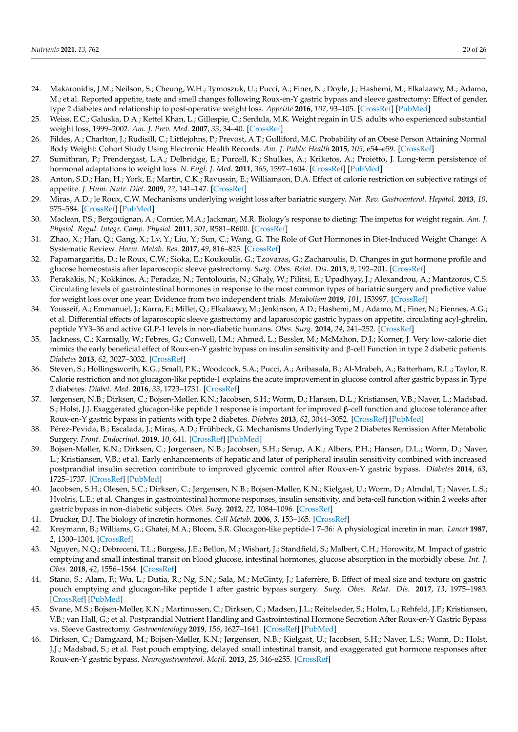- <span id="page-19-21"></span><span id="page-19-20"></span><span id="page-19-0"></span>24. Makaronidis, J.M.; Neilson, S.; Cheung, W.H.; Tymoszuk, U.; Pucci, A.; Finer, N.; Doyle, J.; Hashemi, M.; Elkalaawy, M.; Adamo, M.; et al. Reported appetite, taste and smell changes following Roux-en-Y gastric bypass and sleeve gastrectomy: Effect of gender, type 2 diabetes and relationship to post-operative weight loss. *Appetite* **2016**, *107*, 93–105. [\[CrossRef\]](http://doi.org/10.1016/j.appet.2016.07.029) [\[PubMed\]](http://www.ncbi.nlm.nih.gov/pubmed/27453553)
- <span id="page-19-1"></span>25. Weiss, E.C.; Galuska, D.A.; Kettel Khan, L.; Gillespie, C.; Serdula, M.K. Weight regain in U.S. adults who experienced substantial weight loss, 1999–2002. *Am. J. Prev. Med.* **2007**, *33*, 34–40. [\[CrossRef\]](http://doi.org/10.1016/j.amepre.2007.02.040)
- <span id="page-19-2"></span>26. Fildes, A.; Charlton, J.; Rudisill, C.; Littlejohns, P.; Prevost, A.T.; Gulliford, M.C. Probability of an Obese Person Attaining Normal Body Weight: Cohort Study Using Electronic Health Records. *Am. J. Public Health* **2015**, *105*, e54–e59. [\[CrossRef\]](http://doi.org/10.2105/AJPH.2015.302773)
- <span id="page-19-3"></span>27. Sumithran, P.; Prendergast, L.A.; Delbridge, E.; Purcell, K.; Shulkes, A.; Kriketos, A.; Proietto, J. Long-term persistence of hormonal adaptations to weight loss. *N. Engl. J. Med.* **2011**, *365*, 1597–1604. [\[CrossRef\]](http://doi.org/10.1056/NEJMoa1105816) [\[PubMed\]](http://www.ncbi.nlm.nih.gov/pubmed/22029981)
- <span id="page-19-24"></span><span id="page-19-4"></span>28. Anton, S.D.; Han, H.; York, E.; Martin, C.K.; Ravussin, E.; Williamson, D.A. Effect of calorie restriction on subjective ratings of appetite. *J. Hum. Nutr. Diet.* **2009**, *22*, 141–147. [\[CrossRef\]](http://doi.org/10.1111/j.1365-277X.2008.00943.x)
- <span id="page-19-5"></span>29. Miras, A.D.; le Roux, C.W. Mechanisms underlying weight loss after bariatric surgery. *Nat. Rev. Gastroenterol. Hepatol.* **2013**, *10*, 575–584. [\[CrossRef\]](http://doi.org/10.1038/nrgastro.2013.119) [\[PubMed\]](http://www.ncbi.nlm.nih.gov/pubmed/23835488)
- <span id="page-19-6"></span>30. Maclean, P.S.; Bergouignan, A.; Cornier, M.A.; Jackman, M.R. Biology's response to dieting: The impetus for weight regain. *Am. J. Physiol. Regul. Integr. Comp. Physiol.* **2011**, *301*, R581–R600. [\[CrossRef\]](http://doi.org/10.1152/ajpregu.00755.2010)
- <span id="page-19-7"></span>31. Zhao, X.; Han, Q.; Gang, X.; Lv, Y.; Liu, Y.; Sun, C.; Wang, G. The Role of Gut Hormones in Diet-Induced Weight Change: A Systematic Review. *Horm. Metab. Res.* **2017**, *49*, 816–825. [\[CrossRef\]](http://doi.org/10.1055/s-0043-115646)
- <span id="page-19-8"></span>32. Papamargaritis, D.; le Roux, C.W.; Sioka, E.; Koukoulis, G.; Tzovaras, G.; Zacharoulis, D. Changes in gut hormone profile and glucose homeostasis after laparoscopic sleeve gastrectomy. *Surg. Obes. Relat. Dis.* **2013**, *9*, 192–201. [\[CrossRef\]](http://doi.org/10.1016/j.soard.2012.08.007)
- <span id="page-19-19"></span>33. Perakakis, N.; Kokkinos, A.; Peradze, N.; Tentolouris, N.; Ghaly, W.; Pilitsi, E.; Upadhyay, J.; Alexandrou, A.; Mantzoros, C.S. Circulating levels of gastrointestinal hormones in response to the most common types of bariatric surgery and predictive value for weight loss over one year: Evidence from two independent trials. *Metabolism* **2019**, *101*, 153997. [\[CrossRef\]](http://doi.org/10.1016/j.metabol.2019.153997)
- <span id="page-19-9"></span>34. Yousseif, A.; Emmanuel, J.; Karra, E.; Millet, Q.; Elkalaawy, M.; Jenkinson, A.D.; Hashemi, M.; Adamo, M.; Finer, N.; Fiennes, A.G.; et al. Differential effects of laparoscopic sleeve gastrectomy and laparoscopic gastric bypass on appetite, circulating acyl-ghrelin, peptide YY3–36 and active GLP-1 levels in non-diabetic humans. *Obes. Surg.* **2014**, *24*, 241–252. [\[CrossRef\]](http://doi.org/10.1007/s11695-013-1066-0)
- <span id="page-19-10"></span>35. Jackness, C.; Karmally, W.; Febres, G.; Conwell, I.M.; Ahmed, L.; Bessler, M.; McMahon, D.J.; Korner, J. Very low-calorie diet mimics the early beneficial effect of Roux-en-Y gastric bypass on insulin sensitivity and β-cell Function in type 2 diabetic patients. *Diabetes* **2013**, *62*, 3027–3032. [\[CrossRef\]](http://doi.org/10.2337/db12-1762)
- <span id="page-19-22"></span>36. Steven, S.; Hollingsworth, K.G.; Small, P.K.; Woodcock, S.A.; Pucci, A.; Aribasala, B.; Al-Mrabeh, A.; Batterham, R.L.; Taylor, R. Calorie restriction and not glucagon-like peptide-1 explains the acute improvement in glucose control after gastric bypass in Type 2 diabetes. *Diabet. Med.* **2016**, *33*, 1723–1731. [\[CrossRef\]](http://doi.org/10.1111/dme.13257)
- <span id="page-19-11"></span>37. Jørgensen, N.B.; Dirksen, C.; Bojsen-Møller, K.N.; Jacobsen, S.H.; Worm, D.; Hansen, D.L.; Kristiansen, V.B.; Naver, L.; Madsbad, S.; Holst, J.J. Exaggerated glucagon-like peptide 1 response is important for improved β-cell function and glucose tolerance after Roux-en-Y gastric bypass in patients with type 2 diabetes. *Diabetes* **2013**, *62*, 3044–3052. [\[CrossRef\]](http://doi.org/10.2337/db13-0022) [\[PubMed\]](http://www.ncbi.nlm.nih.gov/pubmed/23649520)
- <span id="page-19-12"></span>38. Pérez-Pevida, B.; Escalada, J.; Miras, A.D.; Frühbeck, G. Mechanisms Underlying Type 2 Diabetes Remission After Metabolic Surgery. *Front. Endocrinol.* **2019**, *10*, 641. [\[CrossRef\]](http://doi.org/10.3389/fendo.2019.00641) [\[PubMed\]](http://www.ncbi.nlm.nih.gov/pubmed/31608010)
- <span id="page-19-23"></span>39. Bojsen-Møller, K.N.; Dirksen, C.; Jørgensen, N.B.; Jacobsen, S.H.; Serup, A.K.; Albers, P.H.; Hansen, D.L.; Worm, D.; Naver, L.; Kristiansen, V.B.; et al. Early enhancements of hepatic and later of peripheral insulin sensitivity combined with increased postprandial insulin secretion contribute to improved glycemic control after Roux-en-Y gastric bypass. *Diabetes* **2014**, *63*, 1725–1737. [\[CrossRef\]](http://doi.org/10.2337/db13-1307) [\[PubMed\]](http://www.ncbi.nlm.nih.gov/pubmed/24241533)
- <span id="page-19-13"></span>40. Jacobsen, S.H.; Olesen, S.C.; Dirksen, C.; Jørgensen, N.B.; Bojsen-Møller, K.N.; Kielgast, U.; Worm, D.; Almdal, T.; Naver, L.S.; Hvolris, L.E.; et al. Changes in gastrointestinal hormone responses, insulin sensitivity, and beta-cell function within 2 weeks after gastric bypass in non-diabetic subjects. *Obes. Surg.* **2012**, *22*, 1084–1096. [\[CrossRef\]](http://doi.org/10.1007/s11695-012-0621-4)
- <span id="page-19-14"></span>41. Drucker, D.J. The biology of incretin hormones. *Cell Metab.* **2006**, *3*, 153–165. [\[CrossRef\]](http://doi.org/10.1016/j.cmet.2006.01.004)
- <span id="page-19-15"></span>42. Kreymann, B.; Williams, G.; Ghatei, M.A.; Bloom, S.R. Glucagon-like peptide-1 7–36: A physiological incretin in man. *Lancet* **1987**, *2*, 1300–1304. [\[CrossRef\]](http://doi.org/10.1016/S0140-6736(87)91194-9)
- <span id="page-19-16"></span>43. Nguyen, N.Q.; Debreceni, T.L.; Burgess, J.E.; Bellon, M.; Wishart, J.; Standfield, S.; Malbert, C.H.; Horowitz, M. Impact of gastric emptying and small intestinal transit on blood glucose, intestinal hormones, glucose absorption in the morbidly obese. *Int. J. Obes.* **2018**, *42*, 1556–1564. [\[CrossRef\]](http://doi.org/10.1038/s41366-018-0012-6)
- <span id="page-19-17"></span>44. Stano, S.; Alam, F.; Wu, L.; Dutia, R.; Ng, S.N.; Sala, M.; McGinty, J.; Laferrère, B. Effect of meal size and texture on gastric pouch emptying and glucagon-like peptide 1 after gastric bypass surgery. *Surg. Obes. Relat. Dis.* **2017**, *13*, 1975–1983. [\[CrossRef\]](http://doi.org/10.1016/j.soard.2017.09.004) [\[PubMed\]](http://www.ncbi.nlm.nih.gov/pubmed/29055668)
- <span id="page-19-18"></span>45. Svane, M.S.; Bojsen-Møller, K.N.; Martinussen, C.; Dirksen, C.; Madsen, J.L.; Reitelseder, S.; Holm, L.; Rehfeld, J.F.; Kristiansen, V.B.; van Hall, G.; et al. Postprandial Nutrient Handling and Gastrointestinal Hormone Secretion After Roux-en-Y Gastric Bypass vs. Sleeve Gastrectomy. *Gastroenterology* **2019**, *156*, 1627–1641. [\[CrossRef\]](http://doi.org/10.1053/j.gastro.2019.01.262) [\[PubMed\]](http://www.ncbi.nlm.nih.gov/pubmed/30742833)
- 46. Dirksen, C.; Damgaard, M.; Bojsen-Møller, K.N.; Jørgensen, N.B.; Kielgast, U.; Jacobsen, S.H.; Naver, L.S.; Worm, D.; Holst, J.J.; Madsbad, S.; et al. Fast pouch emptying, delayed small intestinal transit, and exaggerated gut hormone responses after Roux-en-Y gastric bypass. *Neurogastroenterol. Motil.* **2013**, *25*, 346-e255. [\[CrossRef\]](http://doi.org/10.1111/nmo.12087)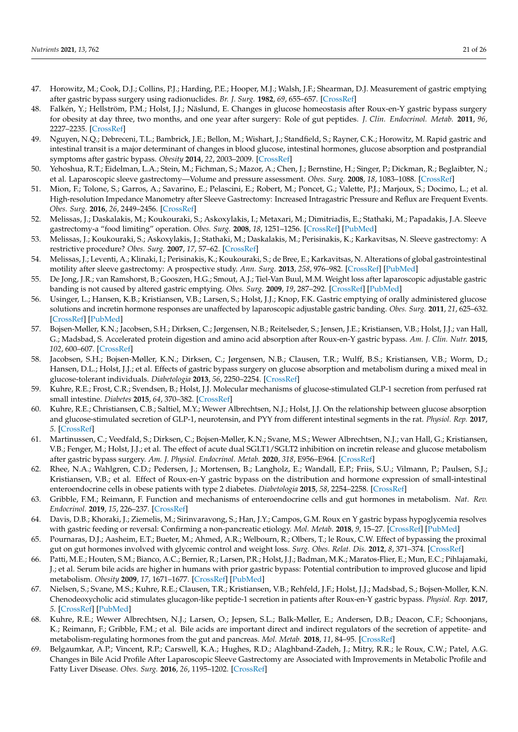- <span id="page-20-23"></span><span id="page-20-22"></span><span id="page-20-0"></span>47. Horowitz, M.; Cook, D.J.; Collins, P.J.; Harding, P.E.; Hooper, M.J.; Walsh, J.F.; Shearman, D.J. Measurement of gastric emptying after gastric bypass surgery using radionuclides. *Br. J. Surg.* **1982**, *69*, 655–657. [\[CrossRef\]](http://doi.org/10.1002/bjs.1800691108)
- <span id="page-20-1"></span>48. Falkén, Y.; Hellström, P.M.; Holst, J.J.; Näslund, E. Changes in glucose homeostasis after Roux-en-Y gastric bypass surgery for obesity at day three, two months, and one year after surgery: Role of gut peptides. *J. Clin. Endocrinol. Metab.* **2011**, *96*, 2227–2235. [\[CrossRef\]](http://doi.org/10.1210/jc.2010-2876)
- <span id="page-20-2"></span>49. Nguyen, N.Q.; Debreceni, T.L.; Bambrick, J.E.; Bellon, M.; Wishart, J.; Standfield, S.; Rayner, C.K.; Horowitz, M. Rapid gastric and intestinal transit is a major determinant of changes in blood glucose, intestinal hormones, glucose absorption and postprandial symptoms after gastric bypass. *Obesity* **2014**, *22*, 2003–2009. [\[CrossRef\]](http://doi.org/10.1002/oby.20791)
- <span id="page-20-3"></span>50. Yehoshua, R.T.; Eidelman, L.A.; Stein, M.; Fichman, S.; Mazor, A.; Chen, J.; Bernstine, H.; Singer, P.; Dickman, R.; Beglaibter, N.; et al. Laparoscopic sleeve gastrectomy—Volume and pressure assessment. *Obes. Surg.* **2008**, *18*, 1083–1088. [\[CrossRef\]](http://doi.org/10.1007/s11695-008-9576-x)
- <span id="page-20-4"></span>51. Mion, F.; Tolone, S.; Garros, A.; Savarino, E.; Pelascini, E.; Robert, M.; Poncet, G.; Valette, P.J.; Marjoux, S.; Docimo, L.; et al. High-resolution Impedance Manometry after Sleeve Gastrectomy: Increased Intragastric Pressure and Reflux are Frequent Events. *Obes. Surg.* **2016**, *26*, 2449–2456. [\[CrossRef\]](http://doi.org/10.1007/s11695-016-2127-y)
- <span id="page-20-5"></span>52. Melissas, J.; Daskalakis, M.; Koukouraki, S.; Askoxylakis, I.; Metaxari, M.; Dimitriadis, E.; Stathaki, M.; Papadakis, J.A. Sleeve gastrectomy-a "food limiting" operation. *Obes. Surg.* **2008**, *18*, 1251–1256. [\[CrossRef\]](http://doi.org/10.1007/s11695-008-9634-4) [\[PubMed\]](http://www.ncbi.nlm.nih.gov/pubmed/18663545)
- <span id="page-20-6"></span>53. Melissas, J.; Koukouraki, S.; Askoxylakis, J.; Stathaki, M.; Daskalakis, M.; Perisinakis, K.; Karkavitsas, N. Sleeve gastrectomy: A restrictive procedure? *Obes. Surg.* **2007**, *17*, 57–62. [\[CrossRef\]](http://doi.org/10.1007/s11695-007-9006-5)
- <span id="page-20-7"></span>54. Melissas, J.; Leventi, A.; Klinaki, I.; Perisinakis, K.; Koukouraki, S.; de Bree, E.; Karkavitsas, N. Alterations of global gastrointestinal motility after sleeve gastrectomy: A prospective study. *Ann. Surg.* **2013**, *258*, 976–982. [\[CrossRef\]](http://doi.org/10.1097/SLA.0b013e3182774522) [\[PubMed\]](http://www.ncbi.nlm.nih.gov/pubmed/23160151)
- <span id="page-20-8"></span>55. De Jong, J.R.; van Ramshorst, B.; Gooszen, H.G.; Smout, A.J.; Tiel-Van Buul, M.M. Weight loss after laparoscopic adjustable gastric banding is not caused by altered gastric emptying. *Obes. Surg.* **2009**, *19*, 287–292. [\[CrossRef\]](http://doi.org/10.1007/s11695-008-9746-x) [\[PubMed\]](http://www.ncbi.nlm.nih.gov/pubmed/18937018)
- <span id="page-20-9"></span>56. Usinger, L.; Hansen, K.B.; Kristiansen, V.B.; Larsen, S.; Holst, J.J.; Knop, F.K. Gastric emptying of orally administered glucose solutions and incretin hormone responses are unaffected by laparoscopic adjustable gastric banding. *Obes. Surg.* **2011**, *21*, 625–632. [\[CrossRef\]](http://doi.org/10.1007/s11695-011-0362-9) [\[PubMed\]](http://www.ncbi.nlm.nih.gov/pubmed/21287292)
- <span id="page-20-10"></span>57. Bojsen-Møller, K.N.; Jacobsen, S.H.; Dirksen, C.; Jørgensen, N.B.; Reitelseder, S.; Jensen, J.E.; Kristiansen, V.B.; Holst, J.J.; van Hall, G.; Madsbad, S. Accelerated protein digestion and amino acid absorption after Roux-en-Y gastric bypass. *Am. J. Clin. Nutr.* **2015**, *102*, 600–607. [\[CrossRef\]](http://doi.org/10.3945/ajcn.115.109298)
- <span id="page-20-11"></span>58. Jacobsen, S.H.; Bojsen-Møller, K.N.; Dirksen, C.; Jørgensen, N.B.; Clausen, T.R.; Wulff, B.S.; Kristiansen, V.B.; Worm, D.; Hansen, D.L.; Holst, J.J.; et al. Effects of gastric bypass surgery on glucose absorption and metabolism during a mixed meal in glucose-tolerant individuals. *Diabetologia* **2013**, *56*, 2250–2254. [\[CrossRef\]](http://doi.org/10.1007/s00125-013-3003-0)
- <span id="page-20-12"></span>59. Kuhre, R.E.; Frost, C.R.; Svendsen, B.; Holst, J.J. Molecular mechanisms of glucose-stimulated GLP-1 secretion from perfused rat small intestine. *Diabetes* **2015**, *64*, 370–382. [\[CrossRef\]](http://doi.org/10.2337/db14-0807)
- <span id="page-20-13"></span>60. Kuhre, R.E.; Christiansen, C.B.; Saltiel, M.Y.; Wewer Albrechtsen, N.J.; Holst, J.J. On the relationship between glucose absorption and glucose-stimulated secretion of GLP-1, neurotensin, and PYY from different intestinal segments in the rat. *Physiol. Rep.* **2017**, *5*. [\[CrossRef\]](http://doi.org/10.14814/phy2.13507)
- <span id="page-20-14"></span>61. Martinussen, C.; Veedfald, S.; Dirksen, C.; Bojsen-Møller, K.N.; Svane, M.S.; Wewer Albrechtsen, N.J.; van Hall, G.; Kristiansen, V.B.; Fenger, M.; Holst, J.J.; et al. The effect of acute dual SGLT1/SGLT2 inhibition on incretin release and glucose metabolism after gastric bypass surgery. *Am. J. Physiol. Endocrinol. Metab.* **2020**, *318*, E956–E964. [\[CrossRef\]](http://doi.org/10.1152/ajpendo.00023.2020)
- <span id="page-20-15"></span>62. Rhee, N.A.; Wahlgren, C.D.; Pedersen, J.; Mortensen, B.; Langholz, E.; Wandall, E.P.; Friis, S.U.; Vilmann, P.; Paulsen, S.J.; Kristiansen, V.B.; et al. Effect of Roux-en-Y gastric bypass on the distribution and hormone expression of small-intestinal enteroendocrine cells in obese patients with type 2 diabetes. *Diabetologia* **2015**, *58*, 2254–2258. [\[CrossRef\]](http://doi.org/10.1007/s00125-015-3696-3)
- <span id="page-20-16"></span>63. Gribble, F.M.; Reimann, F. Function and mechanisms of enteroendocrine cells and gut hormones in metabolism. *Nat. Rev. Endocrinol.* **2019**, *15*, 226–237. [\[CrossRef\]](http://doi.org/10.1038/s41574-019-0168-8)
- <span id="page-20-17"></span>64. Davis, D.B.; Khoraki, J.; Ziemelis, M.; Sirinvaravong, S.; Han, J.Y.; Campos, G.M. Roux en Y gastric bypass hypoglycemia resolves with gastric feeding or reversal: Confirming a non-pancreatic etiology. *Mol. Metab.* **2018**, *9*, 15–27. [\[CrossRef\]](http://doi.org/10.1016/j.molmet.2017.12.011) [\[PubMed\]](http://www.ncbi.nlm.nih.gov/pubmed/29449181)
- <span id="page-20-18"></span>65. Pournaras, D.J.; Aasheim, E.T.; Bueter, M.; Ahmed, A.R.; Welbourn, R.; Olbers, T.; le Roux, C.W. Effect of bypassing the proximal gut on gut hormones involved with glycemic control and weight loss. *Surg. Obes. Relat. Dis.* **2012**, *8*, 371–374. [\[CrossRef\]](http://doi.org/10.1016/j.soard.2012.01.021)
- <span id="page-20-19"></span>66. Patti, M.E.; Houten, S.M.; Bianco, A.C.; Bernier, R.; Larsen, P.R.; Holst, J.J.; Badman, M.K.; Maratos-Flier, E.; Mun, E.C.; Pihlajamaki, J.; et al. Serum bile acids are higher in humans with prior gastric bypass: Potential contribution to improved glucose and lipid metabolism. *Obesity* **2009**, *17*, 1671–1677. [\[CrossRef\]](http://doi.org/10.1038/oby.2009.102) [\[PubMed\]](http://www.ncbi.nlm.nih.gov/pubmed/19360006)
- 67. Nielsen, S.; Svane, M.S.; Kuhre, R.E.; Clausen, T.R.; Kristiansen, V.B.; Rehfeld, J.F.; Holst, J.J.; Madsbad, S.; Bojsen-Moller, K.N. Chenodeoxycholic acid stimulates glucagon-like peptide-1 secretion in patients after Roux-en-Y gastric bypass. *Physiol. Rep.* **2017**, *5*. [\[CrossRef\]](http://doi.org/10.14814/phy2.13140) [\[PubMed\]](http://www.ncbi.nlm.nih.gov/pubmed/28202805)
- <span id="page-20-20"></span>68. Kuhre, R.E.; Wewer Albrechtsen, N.J.; Larsen, O.; Jepsen, S.L.; Balk-Møller, E.; Andersen, D.B.; Deacon, C.F.; Schoonjans, K.; Reimann, F.; Gribble, F.M.; et al. Bile acids are important direct and indirect regulators of the secretion of appetite- and metabolism-regulating hormones from the gut and pancreas. *Mol. Metab.* **2018**, *11*, 84–95. [\[CrossRef\]](http://doi.org/10.1016/j.molmet.2018.03.007)
- <span id="page-20-21"></span>69. Belgaumkar, A.P.; Vincent, R.P.; Carswell, K.A.; Hughes, R.D.; Alaghband-Zadeh, J.; Mitry, R.R.; le Roux, C.W.; Patel, A.G. Changes in Bile Acid Profile After Laparoscopic Sleeve Gastrectomy are Associated with Improvements in Metabolic Profile and Fatty Liver Disease. *Obes. Surg.* **2016**, *26*, 1195–1202. [\[CrossRef\]](http://doi.org/10.1007/s11695-015-1878-1)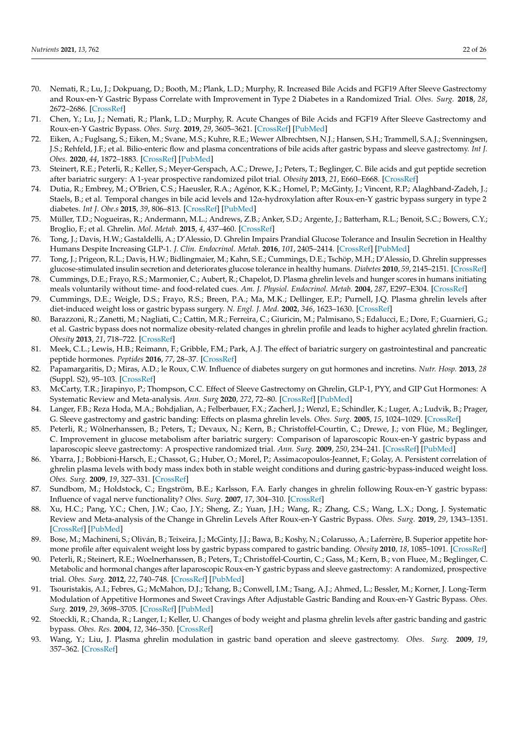- <span id="page-21-1"></span>70. Nemati, R.; Lu, J.; Dokpuang, D.; Booth, M.; Plank, L.D.; Murphy, R. Increased Bile Acids and FGF19 After Sleeve Gastrectomy and Roux-en-Y Gastric Bypass Correlate with Improvement in Type 2 Diabetes in a Randomized Trial. *Obes. Surg.* **2018**, *28*, 2672–2686. [\[CrossRef\]](http://doi.org/10.1007/s11695-018-3216-x)
- 71. Chen, Y.; Lu, J.; Nemati, R.; Plank, L.D.; Murphy, R. Acute Changes of Bile Acids and FGF19 After Sleeve Gastrectomy and Roux-en-Y Gastric Bypass. *Obes. Surg.* **2019**, *29*, 3605–3621. [\[CrossRef\]](http://doi.org/10.1007/s11695-019-04040-x) [\[PubMed\]](http://www.ncbi.nlm.nih.gov/pubmed/31273649)
- <span id="page-21-2"></span>72. Eiken, A.; Fuglsang, S.; Eiken, M.; Svane, M.S.; Kuhre, R.E.; Wewer Albrechtsen, N.J.; Hansen, S.H.; Trammell, S.A.J.; Svenningsen, J.S.; Rehfeld, J.F.; et al. Bilio-enteric flow and plasma concentrations of bile acids after gastric bypass and sleeve gastrectomy. *Int J. Obes.* **2020**, *44*, 1872–1883. [\[CrossRef\]](http://doi.org/10.1038/s41366-020-0578-7) [\[PubMed\]](http://www.ncbi.nlm.nih.gov/pubmed/32317753)
- <span id="page-21-25"></span><span id="page-21-0"></span>73. Steinert, R.E.; Peterli, R.; Keller, S.; Meyer-Gerspach, A.C.; Drewe, J.; Peters, T.; Beglinger, C. Bile acids and gut peptide secretion after bariatric surgery: A 1-year prospective randomized pilot trial. *Obesity* **2013**, *21*, E660–E668. [\[CrossRef\]](http://doi.org/10.1002/oby.20522)
- <span id="page-21-24"></span><span id="page-21-3"></span>74. Dutia, R.; Embrey, M.; O'Brien, C.S.; Haeusler, R.A.; Agénor, K.K.; Homel, P.; McGinty, J.; Vincent, R.P.; Alaghband-Zadeh, J.; Staels, B.; et al. Temporal changes in bile acid levels and 12α-hydroxylation after Roux-en-Y gastric bypass surgery in type 2 diabetes. *Int J. Obe.s* **2015**, *39*, 806–813. [\[CrossRef\]](http://doi.org/10.1038/ijo.2015.1) [\[PubMed\]](http://www.ncbi.nlm.nih.gov/pubmed/25599611)
- <span id="page-21-17"></span><span id="page-21-4"></span>75. Müller, T.D.; Nogueiras, R.; Andermann, M.L.; Andrews, Z.B.; Anker, S.D.; Argente, J.; Batterham, R.L.; Benoit, S.C.; Bowers, C.Y.; Broglio, F.; et al. Ghrelin. *Mol. Metab.* **2015**, *4*, 437–460. [\[CrossRef\]](http://doi.org/10.1016/j.molmet.2015.03.005)
- <span id="page-21-21"></span>76. Tong, J.; Davis, H.W.; Gastaldelli, A.; D'Alessio, D. Ghrelin Impairs Prandial Glucose Tolerance and Insulin Secretion in Healthy Humans Despite Increasing GLP-1. *J. Clin. Endocrinol. Metab.* **2016**, *101*, 2405–2414. [\[CrossRef\]](http://doi.org/10.1210/jc.2015-4154) [\[PubMed\]](http://www.ncbi.nlm.nih.gov/pubmed/27055279)
- <span id="page-21-5"></span>77. Tong, J.; Prigeon, R.L.; Davis, H.W.; Bidlingmaier, M.; Kahn, S.E.; Cummings, D.E.; Tschöp, M.H.; D'Alessio, D. Ghrelin suppresses glucose-stimulated insulin secretion and deteriorates glucose tolerance in healthy humans. *Diabetes* **2010**, *59*, 2145–2151. [\[CrossRef\]](http://doi.org/10.2337/db10-0504)
- <span id="page-21-18"></span><span id="page-21-6"></span>78. Cummings, D.E.; Frayo, R.S.; Marmonier, C.; Aubert, R.; Chapelot, D. Plasma ghrelin levels and hunger scores in humans initiating meals voluntarily without time- and food-related cues. *Am. J. Physiol. Endocrinol. Metab.* **2004**, *287*, E297–E304. [\[CrossRef\]](http://doi.org/10.1152/ajpendo.00582.2003)
- <span id="page-21-19"></span><span id="page-21-7"></span>79. Cummings, D.E.; Weigle, D.S.; Frayo, R.S.; Breen, P.A.; Ma, M.K.; Dellinger, E.P.; Purnell, J.Q. Plasma ghrelin levels after diet-induced weight loss or gastric bypass surgery. *N. Engl. J. Med.* **2002**, *346*, 1623–1630. [\[CrossRef\]](http://doi.org/10.1056/NEJMoa012908)
- <span id="page-21-23"></span><span id="page-21-8"></span>80. Barazzoni, R.; Zanetti, M.; Nagliati, C.; Cattin, M.R.; Ferreira, C.; Giuricin, M.; Palmisano, S.; Edalucci, E.; Dore, F.; Guarnieri, G.; et al. Gastric bypass does not normalize obesity-related changes in ghrelin profile and leads to higher acylated ghrelin fraction. *Obesity* **2013**, *21*, 718–722. [\[CrossRef\]](http://doi.org/10.1002/oby.20272)
- <span id="page-21-20"></span><span id="page-21-9"></span>81. Meek, C.L.; Lewis, H.B.; Reimann, F.; Gribble, F.M.; Park, A.J. The effect of bariatric surgery on gastrointestinal and pancreatic peptide hormones. *Peptides* **2016**, *77*, 28–37. [\[CrossRef\]](http://doi.org/10.1016/j.peptides.2015.08.013)
- <span id="page-21-22"></span><span id="page-21-10"></span>82. Papamargaritis, D.; Miras, A.D.; le Roux, C.W. Influence of diabetes surgery on gut hormones and incretins. *Nutr. Hosp.* **2013**, *28* (Suppl. S2), 95–103. [\[CrossRef\]](http://doi.org/10.3305/nh.2013.28.sup2.6719)
- <span id="page-21-13"></span>83. McCarty, T.R.; Jirapinyo, P.; Thompson, C.C. Effect of Sleeve Gastrectomy on Ghrelin, GLP-1, PYY, and GIP Gut Hormones: A Systematic Review and Meta-analysis. *Ann. Surg* **2020**, *272*, 72–80. [\[CrossRef\]](http://doi.org/10.1097/SLA.0000000000003614) [\[PubMed\]](http://www.ncbi.nlm.nih.gov/pubmed/31592891)
- 84. Langer, F.B.; Reza Hoda, M.A.; Bohdjalian, A.; Felberbauer, F.X.; Zacherl, J.; Wenzl, E.; Schindler, K.; Luger, A.; Ludvik, B.; Prager, G. Sleeve gastrectomy and gastric banding: Effects on plasma ghrelin levels. *Obes. Surg.* **2005**, *15*, 1024–1029. [\[CrossRef\]](http://doi.org/10.1381/0960892054621125)
- <span id="page-21-14"></span>85. Peterli, R.; Wölnerhanssen, B.; Peters, T.; Devaux, N.; Kern, B.; Christoffel-Courtin, C.; Drewe, J.; von Flüe, M.; Beglinger, C. Improvement in glucose metabolism after bariatric surgery: Comparison of laparoscopic Roux-en-Y gastric bypass and laparoscopic sleeve gastrectomy: A prospective randomized trial. *Ann. Surg.* **2009**, *250*, 234–241. [\[CrossRef\]](http://doi.org/10.1097/SLA.0b013e3181ae32e3) [\[PubMed\]](http://www.ncbi.nlm.nih.gov/pubmed/19638921)
- <span id="page-21-11"></span>86. Ybarra, J.; Bobbioni-Harsch, E.; Chassot, G.; Huber, O.; Morel, P.; Assimacopoulos-Jeannet, F.; Golay, A. Persistent correlation of ghrelin plasma levels with body mass index both in stable weight conditions and during gastric-bypass-induced weight loss. *Obes. Surg.* **2009**, *19*, 327–331. [\[CrossRef\]](http://doi.org/10.1007/s11695-008-9748-8)
- 87. Sundbom, M.; Holdstock, C.; Engström, B.E.; Karlsson, F.A. Early changes in ghrelin following Roux-en-Y gastric bypass: Influence of vagal nerve functionality? *Obes. Surg.* **2007**, *17*, 304–310. [\[CrossRef\]](http://doi.org/10.1007/s11695-007-9056-8)
- 88. Xu, H.C.; Pang, Y.C.; Chen, J.W.; Cao, J.Y.; Sheng, Z.; Yuan, J.H.; Wang, R.; Zhang, C.S.; Wang, L.X.; Dong, J. Systematic Review and Meta-analysis of the Change in Ghrelin Levels After Roux-en-Y Gastric Bypass. *Obes. Surg.* **2019**, *29*, 1343–1351. [\[CrossRef\]](http://doi.org/10.1007/s11695-018-03686-3) [\[PubMed\]](http://www.ncbi.nlm.nih.gov/pubmed/30684171)
- <span id="page-21-15"></span>89. Bose, M.; Machineni, S.; Oliván, B.; Teixeira, J.; McGinty, J.J.; Bawa, B.; Koshy, N.; Colarusso, A.; Laferrère, B. Superior appetite hormone profile after equivalent weight loss by gastric bypass compared to gastric banding. *Obesity* **2010**, *18*, 1085–1091. [\[CrossRef\]](http://doi.org/10.1038/oby.2009.473)
- <span id="page-21-12"></span>90. Peterli, R.; Steinert, R.E.; Woelnerhanssen, B.; Peters, T.; Christoffel-Courtin, C.; Gass, M.; Kern, B.; von Fluee, M.; Beglinger, C. Metabolic and hormonal changes after laparoscopic Roux-en-Y gastric bypass and sleeve gastrectomy: A randomized, prospective trial. *Obes. Surg.* **2012**, *22*, 740–748. [\[CrossRef\]](http://doi.org/10.1007/s11695-012-0622-3) [\[PubMed\]](http://www.ncbi.nlm.nih.gov/pubmed/22354457)
- <span id="page-21-16"></span>91. Tsouristakis, A.I.; Febres, G.; McMahon, D.J.; Tchang, B.; Conwell, I.M.; Tsang, A.J.; Ahmed, L.; Bessler, M.; Korner, J. Long-Term Modulation of Appetitive Hormones and Sweet Cravings After Adjustable Gastric Banding and Roux-en-Y Gastric Bypass. *Obes. Surg.* **2019**, *29*, 3698–3705. [\[CrossRef\]](http://doi.org/10.1007/s11695-019-04111-z) [\[PubMed\]](http://www.ncbi.nlm.nih.gov/pubmed/31376135)
- 92. Stoeckli, R.; Chanda, R.; Langer, I.; Keller, U. Changes of body weight and plasma ghrelin levels after gastric banding and gastric bypass. *Obes. Res.* **2004**, *12*, 346–350. [\[CrossRef\]](http://doi.org/10.1038/oby.2004.43)
- 93. Wang, Y.; Liu, J. Plasma ghrelin modulation in gastric band operation and sleeve gastrectomy. *Obes. Surg.* **2009**, *19*, 357–362. [\[CrossRef\]](http://doi.org/10.1007/s11695-008-9688-3)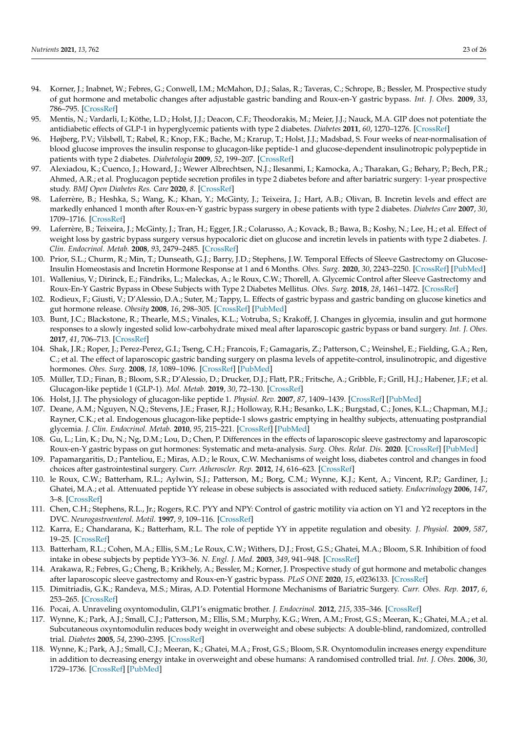- <span id="page-22-28"></span><span id="page-22-27"></span><span id="page-22-26"></span><span id="page-22-25"></span><span id="page-22-24"></span><span id="page-22-21"></span><span id="page-22-0"></span>94. Korner, J.; Inabnet, W.; Febres, G.; Conwell, I.M.; McMahon, D.J.; Salas, R.; Taveras, C.; Schrope, B.; Bessler, M. Prospective study of gut hormone and metabolic changes after adjustable gastric banding and Roux-en-Y gastric bypass. *Int. J. Obes.* **2009**, *33*, 786–795. [\[CrossRef\]](http://doi.org/10.1038/ijo.2009.79)
- <span id="page-22-1"></span>95. Mentis, N.; Vardarli, I.; Köthe, L.D.; Holst, J.J.; Deacon, C.F.; Theodorakis, M.; Meier, J.J.; Nauck, M.A. GIP does not potentiate the antidiabetic effects of GLP-1 in hyperglycemic patients with type 2 diabetes. *Diabetes* **2011**, *60*, 1270–1276. [\[CrossRef\]](http://doi.org/10.2337/db10-1332)
- <span id="page-22-23"></span><span id="page-22-2"></span>96. Højberg, P.V.; Vilsbøll, T.; Rabøl, R.; Knop, F.K.; Bache, M.; Krarup, T.; Holst, J.J.; Madsbad, S. Four weeks of near-normalisation of blood glucose improves the insulin response to glucagon-like peptide-1 and glucose-dependent insulinotropic polypeptide in patients with type 2 diabetes. *Diabetologia* **2009**, *52*, 199–207. [\[CrossRef\]](http://doi.org/10.1007/s00125-008-1195-5)
- <span id="page-22-29"></span><span id="page-22-3"></span>97. Alexiadou, K.; Cuenco, J.; Howard, J.; Wewer Albrechtsen, N.J.; Ilesanmi, I.; Kamocka, A.; Tharakan, G.; Behary, P.; Bech, P.R.; Ahmed, A.R.; et al. Proglucagon peptide secretion profiles in type 2 diabetes before and after bariatric surgery: 1-year prospective study. *BMJ Open Diabetes Res. Care* **2020**, *8*. [\[CrossRef\]](http://doi.org/10.1136/bmjdrc-2019-001076)
- 98. Laferrère, B.; Heshka, S.; Wang, K.; Khan, Y.; McGinty, J.; Teixeira, J.; Hart, A.B.; Olivan, B. Incretin levels and effect are markedly enhanced 1 month after Roux-en-Y gastric bypass surgery in obese patients with type 2 diabetes. *Diabetes Care* **2007**, *30*, 1709–1716. [\[CrossRef\]](http://doi.org/10.2337/dc06-1549)
- <span id="page-22-20"></span>99. Laferrère, B.; Teixeira, J.; McGinty, J.; Tran, H.; Egger, J.R.; Colarusso, A.; Kovack, B.; Bawa, B.; Koshy, N.; Lee, H.; et al. Effect of weight loss by gastric bypass surgery versus hypocaloric diet on glucose and incretin levels in patients with type 2 diabetes. *J. Clin. Endocrinol. Metab.* **2008**, *93*, 2479–2485. [\[CrossRef\]](http://doi.org/10.1210/jc.2007-2851)
- 100. Prior, S.L.; Churm, R.; Min, T.; Dunseath, G.J.; Barry, J.D.; Stephens, J.W. Temporal Effects of Sleeve Gastrectomy on Glucose-Insulin Homeostasis and Incretin Hormone Response at 1 and 6 Months. *Obes. Surg.* **2020**, *30*, 2243–2250. [\[CrossRef\]](http://doi.org/10.1007/s11695-020-04457-9) [\[PubMed\]](http://www.ncbi.nlm.nih.gov/pubmed/32067166)
- <span id="page-22-4"></span>101. Wallenius, V.; Dirinck, E.; Fändriks, L.; Maleckas, A.; le Roux, C.W.; Thorell, A. Glycemic Control after Sleeve Gastrectomy and Roux-En-Y Gastric Bypass in Obese Subjects with Type 2 Diabetes Mellitus. *Obes. Surg.* **2018**, *28*, 1461–1472. [\[CrossRef\]](http://doi.org/10.1007/s11695-017-3061-3)
- <span id="page-22-5"></span>102. Rodieux, F.; Giusti, V.; D'Alessio, D.A.; Suter, M.; Tappy, L. Effects of gastric bypass and gastric banding on glucose kinetics and gut hormone release. *Obesity* **2008**, *16*, 298–305. [\[CrossRef\]](http://doi.org/10.1038/oby.2007.83) [\[PubMed\]](http://www.ncbi.nlm.nih.gov/pubmed/18239636)
- 103. Bunt, J.C.; Blackstone, R.; Thearle, M.S.; Vinales, K.L.; Votruba, S.; Krakoff, J. Changes in glycemia, insulin and gut hormone responses to a slowly ingested solid low-carbohydrate mixed meal after laparoscopic gastric bypass or band surgery. *Int. J. Obes.* **2017**, *41*, 706–713. [\[CrossRef\]](http://doi.org/10.1038/ijo.2017.22)
- <span id="page-22-22"></span><span id="page-22-6"></span>104. Shak, J.R.; Roper, J.; Perez-Perez, G.I.; Tseng, C.H.; Francois, F.; Gamagaris, Z.; Patterson, C.; Weinshel, E.; Fielding, G.A.; Ren, C.; et al. The effect of laparoscopic gastric banding surgery on plasma levels of appetite-control, insulinotropic, and digestive hormones. *Obes. Surg.* **2008**, *18*, 1089–1096. [\[CrossRef\]](http://doi.org/10.1007/s11695-008-9454-6) [\[PubMed\]](http://www.ncbi.nlm.nih.gov/pubmed/18408980)
- <span id="page-22-7"></span>105. Müller, T.D.; Finan, B.; Bloom, S.R.; D'Alessio, D.; Drucker, D.J.; Flatt, P.R.; Fritsche, A.; Gribble, F.; Grill, H.J.; Habener, J.F.; et al. Glucagon-like peptide 1 (GLP-1). *Mol. Metab.* **2019**, *30*, 72–130. [\[CrossRef\]](http://doi.org/10.1016/j.molmet.2019.09.010)
- <span id="page-22-8"></span>106. Holst, J.J. The physiology of glucagon-like peptide 1. *Physiol. Rev.* **2007**, *87*, 1409–1439. [\[CrossRef\]](http://doi.org/10.1152/physrev.00034.2006) [\[PubMed\]](http://www.ncbi.nlm.nih.gov/pubmed/17928588)
- <span id="page-22-9"></span>107. Deane, A.M.; Nguyen, N.Q.; Stevens, J.E.; Fraser, R.J.; Holloway, R.H.; Besanko, L.K.; Burgstad, C.; Jones, K.L.; Chapman, M.J.; Rayner, C.K.; et al. Endogenous glucagon-like peptide-1 slows gastric emptying in healthy subjects, attenuating postprandial glycemia. *J. Clin. Endocrinol. Metab.* **2010**, *95*, 215–221. [\[CrossRef\]](http://doi.org/10.1210/jc.2009-1503) [\[PubMed\]](http://www.ncbi.nlm.nih.gov/pubmed/19892837)
- <span id="page-22-10"></span>108. Gu, L.; Lin, K.; Du, N.; Ng, D.M.; Lou, D.; Chen, P. Differences in the effects of laparoscopic sleeve gastrectomy and laparoscopic Roux-en-Y gastric bypass on gut hormones: Systematic and meta-analysis. *Surg. Obes. Relat. Dis.* **2020**. [\[CrossRef\]](http://doi.org/10.1007/s11695-020-04488-2) [\[PubMed\]](http://www.ncbi.nlm.nih.gov/pubmed/32077060)
- <span id="page-22-11"></span>109. Papamargaritis, D.; Panteliou, E.; Miras, A.D.; le Roux, C.W. Mechanisms of weight loss, diabetes control and changes in food choices after gastrointestinal surgery. *Curr. Atheroscler. Rep.* **2012**, *14*, 616–623. [\[CrossRef\]](http://doi.org/10.1007/s11883-012-0283-7)
- <span id="page-22-12"></span>110. le Roux, C.W.; Batterham, R.L.; Aylwin, S.J.; Patterson, M.; Borg, C.M.; Wynne, K.J.; Kent, A.; Vincent, R.P.; Gardiner, J.; Ghatei, M.A.; et al. Attenuated peptide YY release in obese subjects is associated with reduced satiety. *Endocrinology* **2006**, *147*, 3–8. [\[CrossRef\]](http://doi.org/10.1210/en.2005-0972)
- <span id="page-22-13"></span>111. Chen, C.H.; Stephens, R.L., Jr.; Rogers, R.C. PYY and NPY: Control of gastric motility via action on Y1 and Y2 receptors in the DVC. *Neurogastroenterol. Motil.* **1997**, *9*, 109–116. [\[CrossRef\]](http://doi.org/10.1046/j.1365-2982.1997.d01-26.x)
- 112. Karra, E.; Chandarana, K.; Batterham, R.L. The role of peptide YY in appetite regulation and obesity. *J. Physiol.* **2009**, *587*, 19–25. [\[CrossRef\]](http://doi.org/10.1113/jphysiol.2008.164269)
- <span id="page-22-14"></span>113. Batterham, R.L.; Cohen, M.A.; Ellis, S.M.; Le Roux, C.W.; Withers, D.J.; Frost, G.S.; Ghatei, M.A.; Bloom, S.R. Inhibition of food intake in obese subjects by peptide YY3–36. *N. Engl. J. Med.* **2003**, *349*, 941–948. [\[CrossRef\]](http://doi.org/10.1056/NEJMoa030204)
- <span id="page-22-15"></span>114. Arakawa, R.; Febres, G.; Cheng, B.; Krikhely, A.; Bessler, M.; Korner, J. Prospective study of gut hormone and metabolic changes after laparoscopic sleeve gastrectomy and Roux-en-Y gastric bypass. *PLoS ONE* **2020**, *15*, e0236133. [\[CrossRef\]](http://doi.org/10.1371/journal.pone.0236133)
- <span id="page-22-16"></span>115. Dimitriadis, G.K.; Randeva, M.S.; Miras, A.D. Potential Hormone Mechanisms of Bariatric Surgery. *Curr. Obes. Rep.* **2017**, *6*, 253–265. [\[CrossRef\]](http://doi.org/10.1007/s13679-017-0276-5)
- <span id="page-22-17"></span>116. Pocai, A. Unraveling oxyntomodulin, GLP1's enigmatic brother. *J. Endocrinol.* **2012**, *215*, 335–346. [\[CrossRef\]](http://doi.org/10.1530/JOE-12-0368)
- <span id="page-22-18"></span>117. Wynne, K.; Park, A.J.; Small, C.J.; Patterson, M.; Ellis, S.M.; Murphy, K.G.; Wren, A.M.; Frost, G.S.; Meeran, K.; Ghatei, M.A.; et al. Subcutaneous oxyntomodulin reduces body weight in overweight and obese subjects: A double-blind, randomized, controlled trial. *Diabetes* **2005**, *54*, 2390–2395. [\[CrossRef\]](http://doi.org/10.2337/diabetes.54.8.2390)
- <span id="page-22-19"></span>118. Wynne, K.; Park, A.J.; Small, C.J.; Meeran, K.; Ghatei, M.A.; Frost, G.S.; Bloom, S.R. Oxyntomodulin increases energy expenditure in addition to decreasing energy intake in overweight and obese humans: A randomised controlled trial. *Int. J. Obes.* **2006**, *30*, 1729–1736. [\[CrossRef\]](http://doi.org/10.1038/sj.ijo.0803344) [\[PubMed\]](http://www.ncbi.nlm.nih.gov/pubmed/16619056)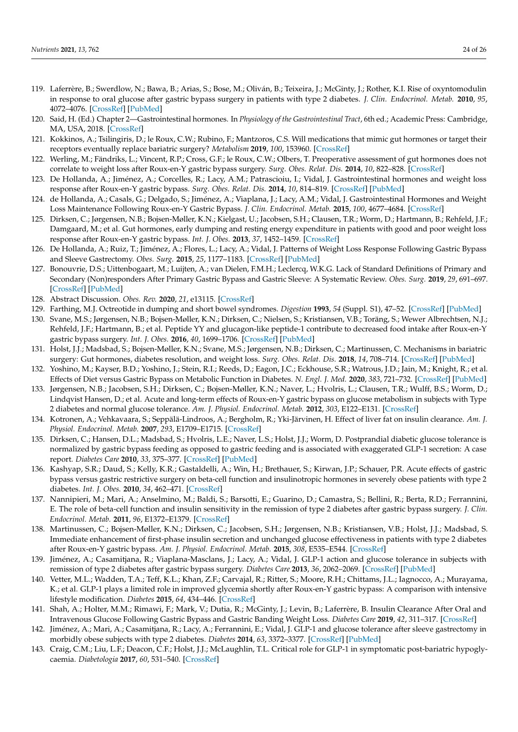- <span id="page-23-15"></span><span id="page-23-14"></span><span id="page-23-4"></span><span id="page-23-0"></span>119. Laferrère, B.; Swerdlow, N.; Bawa, B.; Arias, S.; Bose, M.; Oliván, B.; Teixeira, J.; McGinty, J.; Rother, K.I. Rise of oxyntomodulin in response to oral glucose after gastric bypass surgery in patients with type 2 diabetes. *J. Clin. Endocrinol. Metab.* **2010**, *95*, 4072–4076. [\[CrossRef\]](http://doi.org/10.1210/jc.2009-2767) [\[PubMed\]](http://www.ncbi.nlm.nih.gov/pubmed/20501690)
- <span id="page-23-1"></span>120. Said, H. (Ed.) Chapter 2—Gastrointestinal hormones. In *Physiology of the Gastrointestinal Tract*, 6th ed.; Academic Press: Cambridge, MA, USA, 2018. [\[CrossRef\]](http://doi.org/10.1016/B978-0-12-809954-4.00002-5)
- <span id="page-23-2"></span>121. Kokkinos, A.; Tsilingiris, D.; le Roux, C.W.; Rubino, F.; Mantzoros, C.S. Will medications that mimic gut hormones or target their receptors eventually replace bariatric surgery? *Metabolism* **2019**, *100*, 153960. [\[CrossRef\]](http://doi.org/10.1016/j.metabol.2019.153960)
- <span id="page-23-3"></span>122. Werling, M.; Fändriks, L.; Vincent, R.P.; Cross, G.F.; le Roux, C.W.; Olbers, T. Preoperative assessment of gut hormones does not correlate to weight loss after Roux-en-Y gastric bypass surgery. *Surg. Obes. Relat. Dis.* **2014**, *10*, 822–828. [\[CrossRef\]](http://doi.org/10.1016/j.soard.2014.04.018)
- <span id="page-23-5"></span>123. De Hollanda, A.; Jiménez, A.; Corcelles, R.; Lacy, A.M.; Patrascioiu, I.; Vidal, J. Gastrointestinal hormones and weight loss response after Roux-en-Y gastric bypass. *Surg. Obes. Relat. Dis.* **2014**, *10*, 814–819. [\[CrossRef\]](http://doi.org/10.1016/j.soard.2014.01.022) [\[PubMed\]](http://www.ncbi.nlm.nih.gov/pubmed/24969090)
- <span id="page-23-9"></span>124. de Hollanda, A.; Casals, G.; Delgado, S.; Jiménez, A.; Viaplana, J.; Lacy, A.M.; Vidal, J. Gastrointestinal Hormones and Weight Loss Maintenance Following Roux-en-Y Gastric Bypass. *J. Clin. Endocrinol. Metab.* **2015**, *100*, 4677–4684. [\[CrossRef\]](http://doi.org/10.1210/jc.2015-3065)
- <span id="page-23-6"></span>125. Dirksen, C.; Jørgensen, N.B.; Bojsen-Møller, K.N.; Kielgast, U.; Jacobsen, S.H.; Clausen, T.R.; Worm, D.; Hartmann, B.; Rehfeld, J.F.; Damgaard, M.; et al. Gut hormones, early dumping and resting energy expenditure in patients with good and poor weight loss response after Roux-en-Y gastric bypass. *Int. J. Obes.* **2013**, *37*, 1452–1459. [\[CrossRef\]](http://doi.org/10.1038/ijo.2013.15)
- <span id="page-23-7"></span>126. De Hollanda, A.; Ruiz, T.; Jiménez, A.; Flores, L.; Lacy, A.; Vidal, J. Patterns of Weight Loss Response Following Gastric Bypass and Sleeve Gastrectomy. *Obes. Surg.* **2015**, *25*, 1177–1183. [\[CrossRef\]](http://doi.org/10.1007/s11695-014-1512-7) [\[PubMed\]](http://www.ncbi.nlm.nih.gov/pubmed/25421881)
- <span id="page-23-8"></span>127. Bonouvrie, D.S.; Uittenbogaart, M.; Luijten, A.; van Dielen, F.M.H.; Leclercq, W.K.G. Lack of Standard Definitions of Primary and Secondary (Non)responders After Primary Gastric Bypass and Gastric Sleeve: A Systematic Review. *Obes. Surg.* **2019**, *29*, 691–697. [\[CrossRef\]](http://doi.org/10.1007/s11695-018-3610-4) [\[PubMed\]](http://www.ncbi.nlm.nih.gov/pubmed/30554304)
- <span id="page-23-10"></span>128. Abstract Discussion. *Obes. Rev.* **2020**, *21*, e13115. [\[CrossRef\]](http://doi.org/10.1111/obr.13115)
- <span id="page-23-11"></span>129. Farthing, M.J. Octreotide in dumping and short bowel syndromes. *Digestion* **1993**, *54* (Suppl. S1), 47–52. [\[CrossRef\]](http://doi.org/10.1159/000201077) [\[PubMed\]](http://www.ncbi.nlm.nih.gov/pubmed/8359568)
- <span id="page-23-12"></span>130. Svane, M.S.; Jørgensen, N.B.; Bojsen-Møller, K.N.; Dirksen, C.; Nielsen, S.; Kristiansen, V.B.; Toräng, S.; Wewer Albrechtsen, N.J.; Rehfeld, J.F.; Hartmann, B.; et al. Peptide YY and glucagon-like peptide-1 contribute to decreased food intake after Roux-en-Y gastric bypass surgery. *Int. J. Obes.* **2016**, *40*, 1699–1706. [\[CrossRef\]](http://doi.org/10.1038/ijo.2016.121) [\[PubMed\]](http://www.ncbi.nlm.nih.gov/pubmed/27434221)
- <span id="page-23-30"></span><span id="page-23-13"></span>131. Holst, J.J.; Madsbad, S.; Bojsen-Møller, K.N.; Svane, M.S.; Jørgensen, N.B.; Dirksen, C.; Martinussen, C. Mechanisms in bariatric surgery: Gut hormones, diabetes resolution, and weight loss. *Surg. Obes. Relat. Dis.* **2018**, *14*, 708–714. [\[CrossRef\]](http://doi.org/10.1016/j.soard.2018.03.003) [\[PubMed\]](http://www.ncbi.nlm.nih.gov/pubmed/29776493)
- <span id="page-23-28"></span><span id="page-23-16"></span>132. Yoshino, M.; Kayser, B.D.; Yoshino, J.; Stein, R.I.; Reeds, D.; Eagon, J.C.; Eckhouse, S.R.; Watrous, J.D.; Jain, M.; Knight, R.; et al. Effects of Diet versus Gastric Bypass on Metabolic Function in Diabetes. *N. Engl. J. Med.* **2020**, *383*, 721–732. [\[CrossRef\]](http://doi.org/10.1056/NEJMoa2003697) [\[PubMed\]](http://www.ncbi.nlm.nih.gov/pubmed/32813948)
- <span id="page-23-29"></span><span id="page-23-17"></span>133. Jørgensen, N.B.; Jacobsen, S.H.; Dirksen, C.; Bojsen-Møller, K.N.; Naver, L.; Hvolris, L.; Clausen, T.R.; Wulff, B.S.; Worm, D.; Lindqvist Hansen, D.; et al. Acute and long-term effects of Roux-en-Y gastric bypass on glucose metabolism in subjects with Type 2 diabetes and normal glucose tolerance. *Am. J. Physiol. Endocrinol. Metab.* **2012**, *303*, E122–E131. [\[CrossRef\]](http://doi.org/10.1152/ajpendo.00073.2012)
- <span id="page-23-31"></span><span id="page-23-18"></span>134. Kotronen, A.; Vehkavaara, S.; Seppälä-Lindroos, A.; Bergholm, R.; Yki-Järvinen, H. Effect of liver fat on insulin clearance. *Am. J. Physiol. Endocrinol. Metab.* **2007**, *293*, E1709–E1715. [\[CrossRef\]](http://doi.org/10.1152/ajpendo.00444.2007)
- <span id="page-23-32"></span><span id="page-23-19"></span>135. Dirksen, C.; Hansen, D.L.; Madsbad, S.; Hvolris, L.E.; Naver, L.S.; Holst, J.J.; Worm, D. Postprandial diabetic glucose tolerance is normalized by gastric bypass feeding as opposed to gastric feeding and is associated with exaggerated GLP-1 secretion: A case report. *Diabetes Care* **2010**, *33*, 375–377. [\[CrossRef\]](http://doi.org/10.2337/dc09-1374) [\[PubMed\]](http://www.ncbi.nlm.nih.gov/pubmed/19918005)
- <span id="page-23-20"></span>136. Kashyap, S.R.; Daud, S.; Kelly, K.R.; Gastaldelli, A.; Win, H.; Brethauer, S.; Kirwan, J.P.; Schauer, P.R. Acute effects of gastric bypass versus gastric restrictive surgery on beta-cell function and insulinotropic hormones in severely obese patients with type 2 diabetes. *Int. J. Obes.* **2010**, *34*, 462–471. [\[CrossRef\]](http://doi.org/10.1038/ijo.2009.254)
- <span id="page-23-26"></span>137. Nannipieri, M.; Mari, A.; Anselmino, M.; Baldi, S.; Barsotti, E.; Guarino, D.; Camastra, S.; Bellini, R.; Berta, R.D.; Ferrannini, E. The role of beta-cell function and insulin sensitivity in the remission of type 2 diabetes after gastric bypass surgery. *J. Clin. Endocrinol. Metab.* **2011**, *96*, E1372–E1379. [\[CrossRef\]](http://doi.org/10.1210/jc.2011-0446)
- <span id="page-23-21"></span>138. Martinussen, C.; Bojsen-Møller, K.N.; Dirksen, C.; Jacobsen, S.H.; Jørgensen, N.B.; Kristiansen, V.B.; Holst, J.J.; Madsbad, S. Immediate enhancement of first-phase insulin secretion and unchanged glucose effectiveness in patients with type 2 diabetes after Roux-en-Y gastric bypass. *Am. J. Physiol. Endocrinol. Metab.* **2015**, *308*, E535–E544. [\[CrossRef\]](http://doi.org/10.1152/ajpendo.00506.2014)
- <span id="page-23-22"></span>139. Jiménez, A.; Casamitjana, R.; Viaplana-Masclans, J.; Lacy, A.; Vidal, J. GLP-1 action and glucose tolerance in subjects with remission of type 2 diabetes after gastric bypass surgery. *Diabetes Care* **2013**, *36*, 2062–2069. [\[CrossRef\]](http://doi.org/10.2337/dc12-1535) [\[PubMed\]](http://www.ncbi.nlm.nih.gov/pubmed/23359363)
- <span id="page-23-25"></span>140. Vetter, M.L.; Wadden, T.A.; Teff, K.L.; Khan, Z.F.; Carvajal, R.; Ritter, S.; Moore, R.H.; Chittams, J.L.; Iagnocco, A.; Murayama, K.; et al. GLP-1 plays a limited role in improved glycemia shortly after Roux-en-Y gastric bypass: A comparison with intensive lifestyle modification. *Diabetes* **2015**, *64*, 434–446. [\[CrossRef\]](http://doi.org/10.2337/db14-0558)
- <span id="page-23-23"></span>141. Shah, A.; Holter, M.M.; Rimawi, F.; Mark, V.; Dutia, R.; McGinty, J.; Levin, B.; Laferrère, B. Insulin Clearance After Oral and Intravenous Glucose Following Gastric Bypass and Gastric Banding Weight Loss. *Diabetes Care* **2019**, *42*, 311–317. [\[CrossRef\]](http://doi.org/10.2337/dc18-1036)
- <span id="page-23-24"></span>142. Jiménez, A.; Mari, A.; Casamitjana, R.; Lacy, A.; Ferrannini, E.; Vidal, J. GLP-1 and glucose tolerance after sleeve gastrectomy in morbidly obese subjects with type 2 diabetes. *Diabetes* **2014**, *63*, 3372–3377. [\[CrossRef\]](http://doi.org/10.2337/db14-0357) [\[PubMed\]](http://www.ncbi.nlm.nih.gov/pubmed/24848069)
- <span id="page-23-27"></span>143. Craig, C.M.; Liu, L.F.; Deacon, C.F.; Holst, J.J.; McLaughlin, T.L. Critical role for GLP-1 in symptomatic post-bariatric hypoglycaemia. *Diabetologia* **2017**, *60*, 531–540. [\[CrossRef\]](http://doi.org/10.1007/s00125-016-4179-x)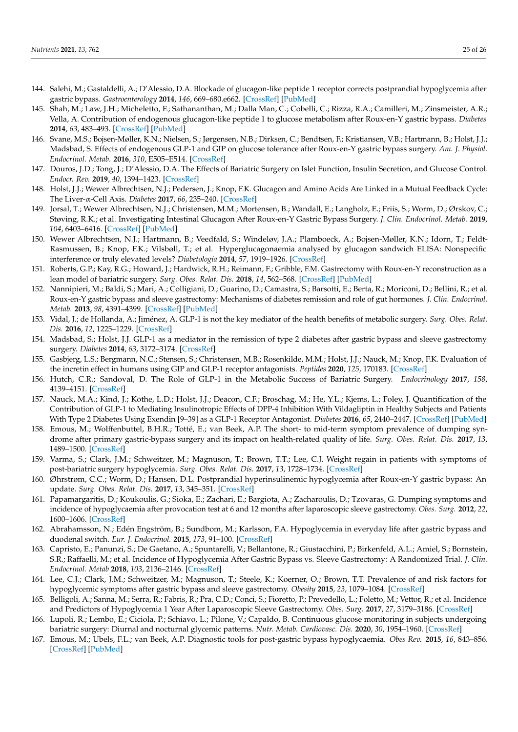- <span id="page-24-20"></span><span id="page-24-19"></span>144. Salehi, M.; Gastaldelli, A.; D'Alessio, D.A. Blockade of glucagon-like peptide 1 receptor corrects postprandial hypoglycemia after gastric bypass. *Gastroenterology* **2014**, *146*, 669–680.e662. [\[CrossRef\]](http://doi.org/10.1053/j.gastro.2013.11.044) [\[PubMed\]](http://www.ncbi.nlm.nih.gov/pubmed/24315990)
- 145. Shah, M.; Law, J.H.; Micheletto, F.; Sathananthan, M.; Dalla Man, C.; Cobelli, C.; Rizza, R.A.; Camilleri, M.; Zinsmeister, A.R.; Vella, A. Contribution of endogenous glucagon-like peptide 1 to glucose metabolism after Roux-en-Y gastric bypass. *Diabetes* **2014**, *63*, 483–493. [\[CrossRef\]](http://doi.org/10.2337/db13-0954) [\[PubMed\]](http://www.ncbi.nlm.nih.gov/pubmed/24089513)
- <span id="page-24-0"></span>146. Svane, M.S.; Bojsen-Møller, K.N.; Nielsen, S.; Jørgensen, N.B.; Dirksen, C.; Bendtsen, F.; Kristiansen, V.B.; Hartmann, B.; Holst, J.J.; Madsbad, S. Effects of endogenous GLP-1 and GIP on glucose tolerance after Roux-en-Y gastric bypass surgery. *Am. J. Physiol. Endocrinol. Metab.* **2016**, *310*, E505–E514. [\[CrossRef\]](http://doi.org/10.1152/ajpendo.00471.2015)
- <span id="page-24-1"></span>147. Douros, J.D.; Tong, J.; D'Alessio, D.A. The Effects of Bariatric Surgery on Islet Function, Insulin Secretion, and Glucose Control. *Endocr. Rev.* **2019**, *40*, 1394–1423. [\[CrossRef\]](http://doi.org/10.1210/er.2018-00183)
- <span id="page-24-2"></span>148. Holst, J.J.; Wewer Albrechtsen, N.J.; Pedersen, J.; Knop, F.K. Glucagon and Amino Acids Are Linked in a Mutual Feedback Cycle: The Liver-α-Cell Axis. *Diabetes* **2017**, *66*, 235–240. [\[CrossRef\]](http://doi.org/10.2337/db16-0994)
- <span id="page-24-3"></span>149. Jorsal, T.; Wewer Albrechtsen, N.J.; Christensen, M.M.; Mortensen, B.; Wandall, E.; Langholz, E.; Friis, S.; Worm, D.; Ørskov, C.; Støving, R.K.; et al. Investigating Intestinal Glucagon After Roux-en-Y Gastric Bypass Surgery. *J. Clin. Endocrinol. Metab.* **2019**, *104*, 6403–6416. [\[CrossRef\]](http://doi.org/10.1210/jc.2019-00062) [\[PubMed\]](http://www.ncbi.nlm.nih.gov/pubmed/31276156)
- <span id="page-24-4"></span>150. Wewer Albrechtsen, N.J.; Hartmann, B.; Veedfald, S.; Windeløv, J.A.; Plamboeck, A.; Bojsen-Møller, K.N.; Idorn, T.; Feldt-Rasmussen, B.; Knop, F.K.; Vilsbøll, T.; et al. Hyperglucagonaemia analysed by glucagon sandwich ELISA: Nonspecific interference or truly elevated levels? *Diabetologia* **2014**, *57*, 1919–1926. [\[CrossRef\]](http://doi.org/10.1007/s00125-014-3283-z)
- <span id="page-24-5"></span>151. Roberts, G.P.; Kay, R.G.; Howard, J.; Hardwick, R.H.; Reimann, F.; Gribble, F.M. Gastrectomy with Roux-en-Y reconstruction as a lean model of bariatric surgery. *Surg. Obes. Relat. Dis.* **2018**, *14*, 562–568. [\[CrossRef\]](http://doi.org/10.1016/j.soard.2018.01.039) [\[PubMed\]](http://www.ncbi.nlm.nih.gov/pubmed/29548882)
- <span id="page-24-6"></span>152. Nannipieri, M.; Baldi, S.; Mari, A.; Colligiani, D.; Guarino, D.; Camastra, S.; Barsotti, E.; Berta, R.; Moriconi, D.; Bellini, R.; et al. Roux-en-Y gastric bypass and sleeve gastrectomy: Mechanisms of diabetes remission and role of gut hormones. *J. Clin. Endocrinol. Metab.* **2013**, *98*, 4391–4399. [\[CrossRef\]](http://doi.org/10.1210/jc.2013-2538) [\[PubMed\]](http://www.ncbi.nlm.nih.gov/pubmed/24057293)
- <span id="page-24-7"></span>153. Vidal, J.; de Hollanda, A.; Jiménez, A. GLP-1 is not the key mediator of the health benefits of metabolic surgery. *Surg. Obes. Relat. Dis.* **2016**, *12*, 1225–1229. [\[CrossRef\]](http://doi.org/10.1016/j.soard.2016.02.029)
- <span id="page-24-8"></span>154. Madsbad, S.; Holst, J.J. GLP-1 as a mediator in the remission of type 2 diabetes after gastric bypass and sleeve gastrectomy surgery. *Diabetes* **2014**, *63*, 3172–3174. [\[CrossRef\]](http://doi.org/10.2337/db14-0935)
- <span id="page-24-9"></span>155. Gasbjerg, L.S.; Bergmann, N.C.; Stensen, S.; Christensen, M.B.; Rosenkilde, M.M.; Holst, J.J.; Nauck, M.; Knop, F.K. Evaluation of the incretin effect in humans using GIP and GLP-1 receptor antagonists. *Peptides* **2020**, *125*, 170183. [\[CrossRef\]](http://doi.org/10.1016/j.peptides.2019.170183)
- <span id="page-24-10"></span>156. Hutch, C.R.; Sandoval, D. The Role of GLP-1 in the Metabolic Success of Bariatric Surgery. *Endocrinology* **2017**, *158*, 4139–4151. [\[CrossRef\]](http://doi.org/10.1210/en.2017-00564)
- <span id="page-24-11"></span>157. Nauck, M.A.; Kind, J.; Köthe, L.D.; Holst, J.J.; Deacon, C.F.; Broschag, M.; He, Y.L.; Kjems, L.; Foley, J. Quantification of the Contribution of GLP-1 to Mediating Insulinotropic Effects of DPP-4 Inhibition With Vildagliptin in Healthy Subjects and Patients With Type 2 Diabetes Using Exendin [9–39] as a GLP-1 Receptor Antagonist. *Diabetes* **2016**, *65*, 2440–2447. [\[CrossRef\]](http://doi.org/10.2337/db16-0107) [\[PubMed\]](http://www.ncbi.nlm.nih.gov/pubmed/27207543)
- <span id="page-24-12"></span>158. Emous, M.; Wolffenbuttel, B.H.R.; Totté, E.; van Beek, A.P. The short- to mid-term symptom prevalence of dumping syndrome after primary gastric-bypass surgery and its impact on health-related quality of life. *Surg. Obes. Relat. Dis.* **2017**, *13*, 1489–1500. [\[CrossRef\]](http://doi.org/10.1016/j.soard.2017.04.028)
- 159. Varma, S.; Clark, J.M.; Schweitzer, M.; Magnuson, T.; Brown, T.T.; Lee, C.J. Weight regain in patients with symptoms of post-bariatric surgery hypoglycemia. *Surg. Obes. Relat. Dis.* **2017**, *13*, 1728–1734. [\[CrossRef\]](http://doi.org/10.1016/j.soard.2017.06.004)
- <span id="page-24-13"></span>160. Øhrstrøm, C.C.; Worm, D.; Hansen, D.L. Postprandial hyperinsulinemic hypoglycemia after Roux-en-Y gastric bypass: An update. *Surg. Obes. Relat. Dis.* **2017**, *13*, 345–351. [\[CrossRef\]](http://doi.org/10.1016/j.soard.2016.09.025)
- <span id="page-24-14"></span>161. Papamargaritis, D.; Koukoulis, G.; Sioka, E.; Zachari, E.; Bargiota, A.; Zacharoulis, D.; Tzovaras, G. Dumping symptoms and incidence of hypoglycaemia after provocation test at 6 and 12 months after laparoscopic sleeve gastrectomy. *Obes. Surg.* **2012**, *22*, 1600–1606. [\[CrossRef\]](http://doi.org/10.1007/s11695-012-0711-3)
- <span id="page-24-15"></span>162. Abrahamsson, N.; Edén Engström, B.; Sundbom, M.; Karlsson, F.A. Hypoglycemia in everyday life after gastric bypass and duodenal switch. *Eur. J. Endocrinol.* **2015**, *173*, 91–100. [\[CrossRef\]](http://doi.org/10.1530/EJE-14-0821)
- <span id="page-24-17"></span>163. Capristo, E.; Panunzi, S.; De Gaetano, A.; Spuntarelli, V.; Bellantone, R.; Giustacchini, P.; Birkenfeld, A.L.; Amiel, S.; Bornstein, S.R.; Raffaelli, M.; et al. Incidence of Hypoglycemia After Gastric Bypass vs. Sleeve Gastrectomy: A Randomized Trial. *J. Clin. Endocrinol. Metab* **2018**, *103*, 2136–2146. [\[CrossRef\]](http://doi.org/10.1210/jc.2017-01695)
- <span id="page-24-16"></span>164. Lee, C.J.; Clark, J.M.; Schweitzer, M.; Magnuson, T.; Steele, K.; Koerner, O.; Brown, T.T. Prevalence of and risk factors for hypoglycemic symptoms after gastric bypass and sleeve gastrectomy. *Obesity* **2015**, *23*, 1079–1084. [\[CrossRef\]](http://doi.org/10.1002/oby.21042)
- 165. Belligoli, A.; Sanna, M.; Serra, R.; Fabris, R.; Pra, C.D.; Conci, S.; Fioretto, P.; Prevedello, L.; Foletto, M.; Vettor, R.; et al. Incidence and Predictors of Hypoglycemia 1 Year After Laparoscopic Sleeve Gastrectomy. *Obes. Surg.* **2017**, *27*, 3179–3186. [\[CrossRef\]](http://doi.org/10.1007/s11695-017-2742-2)
- <span id="page-24-18"></span>166. Lupoli, R.; Lembo, E.; Ciciola, P.; Schiavo, L.; Pilone, V.; Capaldo, B. Continuous glucose monitoring in subjects undergoing bariatric surgery: Diurnal and nocturnal glycemic patterns. *Nutr. Metab. Cardiovasc. Dis.* **2020**, *30*, 1954–1960. [\[CrossRef\]](http://doi.org/10.1016/j.numecd.2020.06.029)
- 167. Emous, M.; Ubels, F.L.; van Beek, A.P. Diagnostic tools for post-gastric bypass hypoglycaemia. *Obes Rev.* **2015**, *16*, 843–856. [\[CrossRef\]](http://doi.org/10.1111/obr.12307) [\[PubMed\]](http://www.ncbi.nlm.nih.gov/pubmed/26315925)